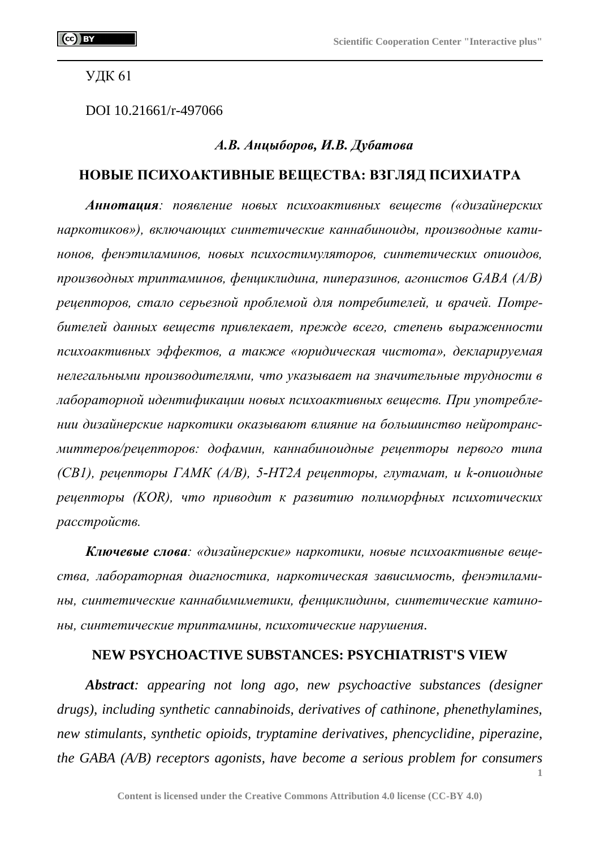УДК 61

DOI 10.21661/r-497066

## *А.В. Анцыборов, И.В. Дубатова*

# **НОВЫЕ ПСИХОАКТИВНЫЕ ВЕЩЕСТВА: ВЗГЛЯД ПСИХИАТРА**

*Аннотация: появление новых психоактивных веществ («дизайнерских наркотиков»), включающих синтетические каннабиноиды, производные катинонов, фенэтиламинов, новых психостимуляторов, синтетических опиоидов, производных триптаминов, фенциклидина, пиперазинов, агонистов GABA (A/B) рецепторов, стало серьезной проблемой для потребителей, и врачей. Потребителей данных веществ привлекает, прежде всего, степень выраженности психоактивных эффектов, а также «юридическая чистота», декларируемая нелегальными производителями, что указывает на значительные трудности в лабораторной идентификации новых психоактивных веществ. При употреблении дизайнерские наркотики оказывают влияние на большинство нейротрансмиттеров/рецепторов: дофамин, каннабиноидные рецепторы первого типа (CB1), рецепторы ГАМК (A/B), 5-HT2A рецепторы, глутамат, и k-опиоидные рецепторы (KOR), что приводит к развитию полиморфных психотических расстройств.*

*Ключевые слова: «дизайнерские» наркотики, новые психоактивные вещества, лабораторная диагностика, наркотическая зависимость, фенэтиламины, синтетические каннабимиметики, фенциклидины, синтетические катиноны, синтетические триптамины, психотические нарушения.*

#### **NEW PSYCHOACTIVE SUBSTANCES: PSYCHIATRIST'S VIEW**

*Abstract: appearing not long ago, new psychoactive substances (designer drugs), including synthetic cannabinoids, derivatives of cathinone, phenethylamines, new stimulants, synthetic opioids, tryptamine derivatives, phencyclidine, piperazine, the GABA (A/B) receptors agonists, have become a serious problem for consumers*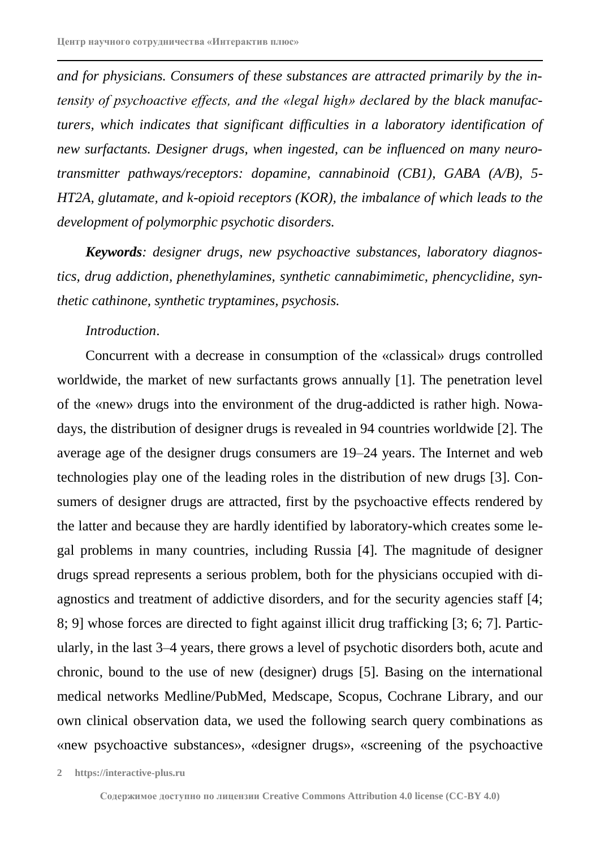*and for physicians. Consumers of these substances are attracted primarily by the intensity of psychoactive effects, and the «legal high» declared by the black manufacturers, which indicates that significant difficulties in a laboratory identification of new surfactants. Designer drugs, when ingested, can be influenced on many neurotransmitter pathways/receptors: dopamine, cannabinoid (CB1), GABA (A/B), 5- HT2A, glutamate, and k-opioid receptors (KOR), the imbalance of which leads to the development of polymorphic psychotic disorders.*

*Keywords: designer drugs, new psychoactive substances, laboratory diagnostics, drug addiction, phenethylamines, synthetic cannabimimetic, phencyclidine, synthetic cathinone, synthetic tryptamines, psychosis.*

## *Introduction*.

Concurrent with a decrease in consumption of the «classical» drugs controlled worldwide, the market of new surfactants grows annually [1]. The penetration level of the «new» drugs into the environment of the drug-addicted is rather high. Nowadays, the distribution of designer drugs is revealed in 94 countries worldwide [2]. The average age of the designer drugs consumers are 19–24 years. The Internet and web technologies play one of the leading roles in the distribution of new drugs [3]. Consumers of designer drugs are attracted, first by the psychoactive effects rendered by the latter and because they are hardly identified by laboratory-which creates some legal problems in many countries, including Russia [4]. The magnitude of designer drugs spread represents a serious problem, both for the physicians occupied with diagnostics and treatment of addictive disorders, and for the security agencies staff [4; 8; 9] whose forces are directed to fight against illicit drug trafficking [3; 6; 7]. Particularly, in the last 3–4 years, there grows a level of psychotic disorders both, acute and chronic, bound to the use of new (designer) drugs [5]. Basing on the international medical networks Medline/PubMed, Medscape, Scopus, Cochrane Library, and our own clinical observation data, we used the following search query combinations as «new psychoactive substances», «designer drugs», «screening of the psychoactive

**<sup>2</sup> https://interactive-plus.ru**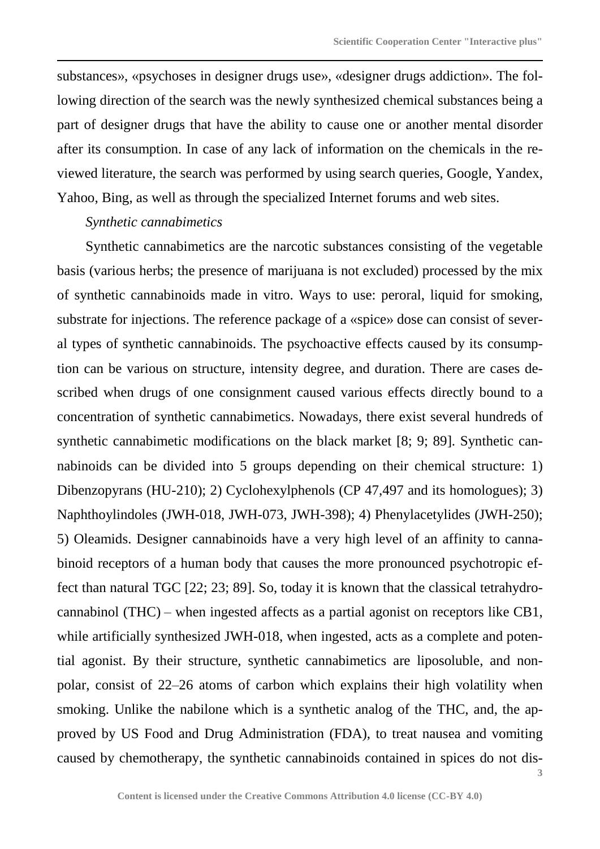substances», «psychoses in designer drugs use», «designer drugs addiction». The following direction of the search was the newly synthesized chemical substances being a part of designer drugs that have the ability to cause one or another mental disorder after its consumption. In case of any lack of information on the chemicals in the reviewed literature, the search was performed by using search queries, Google, Yandex, Yahoo, Bing, as well as through the specialized Internet forums and web sites.

# *Synthetic cannabimetics*

Synthetic cannabimetics are the narcotic substances consisting of the vegetable basis (various herbs; the presence of marijuana is not excluded) processed by the mix of synthetic cannabinoids made in vitro. Ways to use: peroral, liquid for smoking, substrate for injections. The reference package of a «spice» dose can consist of several types of synthetic cannabinoids. The psychoactive effects caused by its consumption can be various on structure, intensity degree, and duration. There are cases described when drugs of one consignment caused various effects directly bound to a concentration of synthetic cannabimetics. Nowadays, there exist several hundreds of synthetic cannabimetic modifications on the black market [8; 9; 89]. Synthetic cannabinoids can be divided into 5 groups depending on their chemical structure: 1) Dibenzopyrans (HU-210); 2) Cyclohexylphenols (CP 47,497 and its homologues); 3) Naphthoylindoles (JWH-018, JWH-073, JWH-398); 4) Phenylacetylides (JWH-250); 5) Oleamids. Designer cannabinoids have a very high level of an affinity to cannabinoid receptors of a human body that causes the more pronounced psychotropic effect than natural TGC [22; 23; 89]. So, today it is known that the classical tetrahydrocannabinol (THC) – when ingested affects as a partial agonist on receptors like CB1, while artificially synthesized JWH-018, when ingested, acts as a complete and potential agonist. By their structure, synthetic cannabimetics are liposoluble, and nonpolar, consist of 22–26 atoms of carbon which explains their high volatility when smoking. Unlike the nabilone which is a synthetic analog of the THC, and, the approved by US Food and Drug Administration (FDA), to treat nausea and vomiting caused by chemotherapy, the synthetic cannabinoids contained in spices do not dis-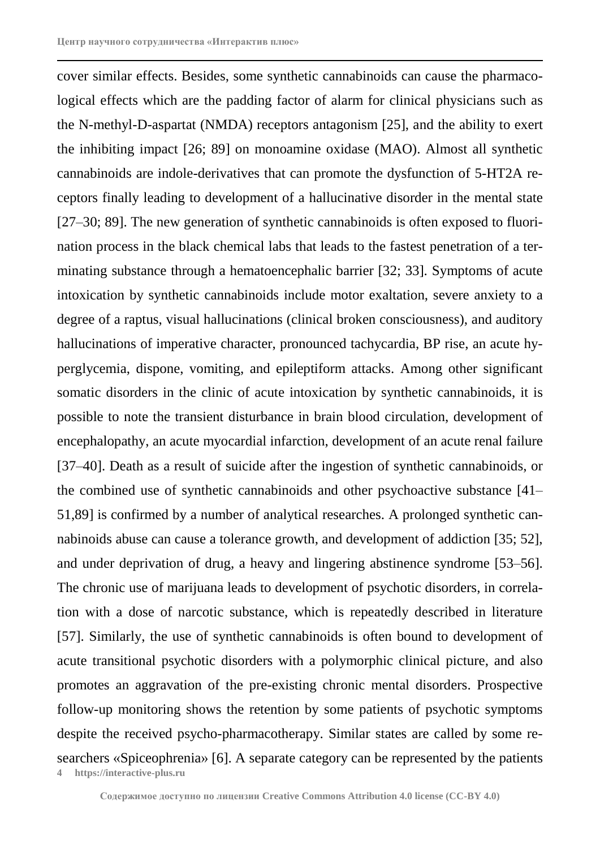**4 https://interactive-plus.ru** cover similar effects. Besides, some synthetic cannabinoids can cause the pharmacological effects which are the padding factor of alarm for clinical physicians such as the N-methyl-D-aspartat (NMDA) receptors antagonism [25], and the ability to exert the inhibiting impact [26; 89] on monoamine oxidase (MAO). Almost all synthetic cannabinoids are indole-derivatives that can promote the dysfunction of 5-HT2A receptors finally leading to development of a hallucinative disorder in the mental state [27–30; 89]. The new generation of synthetic cannabinoids is often exposed to fluorination process in the black chemical labs that leads to the fastest penetration of a terminating substance through a hematoencephalic barrier [32; 33]. Symptoms of acute intoxication by synthetic cannabinoids include motor exaltation, severe anxiety to a degree of a raptus, visual hallucinations (clinical broken consciousness), and auditory hallucinations of imperative character, pronounced tachycardia, BP rise, an acute hyperglycemia, dispone, vomiting, and epileptiform attacks. Among other significant somatic disorders in the clinic of acute intoxication by synthetic cannabinoids, it is possible to note the transient disturbance in brain blood circulation, development of encephalopathy, an acute myocardial infarction, development of an acute renal failure [37–40]. Death as a result of suicide after the ingestion of synthetic cannabinoids, or the combined use of synthetic cannabinoids and other psychoactive substance [41– 51,89] is confirmed by a number of analytical researches. A prolonged synthetic cannabinoids abuse can cause a tolerance growth, and development of addiction [35; 52], and under deprivation of drug, a heavy and lingering abstinence syndrome [53–56]. The chronic use of marijuana leads to development of psychotic disorders, in correlation with a dose of narcotic substance, which is repeatedly described in literature [57]. Similarly, the use of synthetic cannabinoids is often bound to development of acute transitional psychotic disorders with a polymorphic clinical picture, and also promotes an aggravation of the pre-existing chronic mental disorders. Prospective follow-up monitoring shows the retention by some patients of psychotic symptoms despite the received psycho-pharmacotherapy. Similar states are called by some researchers «Spiceophrenia» [6]. A separate category can be represented by the patients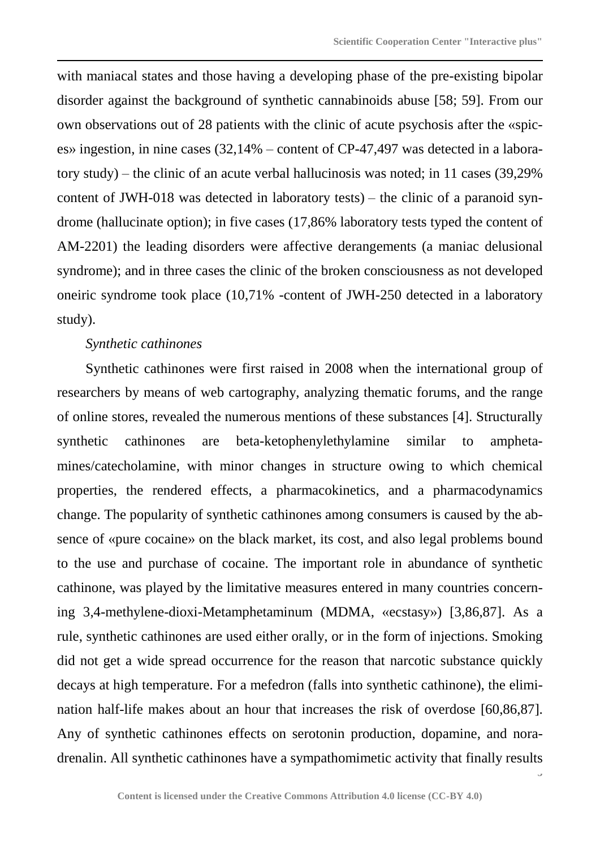with maniacal states and those having a developing phase of the pre-existing bipolar disorder against the background of synthetic cannabinoids abuse [58; 59]. From our own observations out of 28 patients with the clinic of acute psychosis after the «spices» ingestion, in nine cases (32,14% – content of CP-47,497 was detected in a laboratory study) – the clinic of an acute verbal hallucinosis was noted; in 11 cases (39,29% content of JWH-018 was detected in laboratory tests) – the clinic of a paranoid syndrome (hallucinate option); in five cases (17,86% laboratory tests typed the content of AM-2201) the leading disorders were affective derangements (a maniac delusional syndrome); and in three cases the clinic of the broken consciousness as not developed oneiric syndrome took place (10,71% -content of JWH-250 detected in a laboratory study).

# *Synthetic cathinones*

Synthetic cathinones were first raised in 2008 when the international group of researchers by means of web cartography, analyzing thematic forums, and the range of online stores, revealed the numerous mentions of these substances [4]. Structurally synthetic cathinones are beta-ketophenylethylamine similar to amphetamines/catecholamine, with minor changes in structure owing to which chemical properties, the rendered effects, a pharmacokinetics, and a pharmacodynamics change. The popularity of synthetic cathinones among consumers is caused by the absence of «pure cocaine» on the black market, its cost, and also legal problems bound to the use and purchase of cocaine. The important role in abundance of synthetic cathinone, was played by the limitative measures entered in many countries concerning 3,4-methylene-dioxi-Metamphetaminum (MDMA, «ecstasy») [3,86,87]. As a rule, synthetic cathinones are used either orally, or in the form of injections. Smoking did not get a wide spread occurrence for the reason that narcotic substance quickly decays at high temperature. For a mefedron (falls into synthetic cathinone), the elimination half-life makes about an hour that increases the risk of overdose [60,86,87]. Any of synthetic cathinones effects on serotonin production, dopamine, and noradrenalin. All synthetic cathinones have a sympathomimetic activity that finally results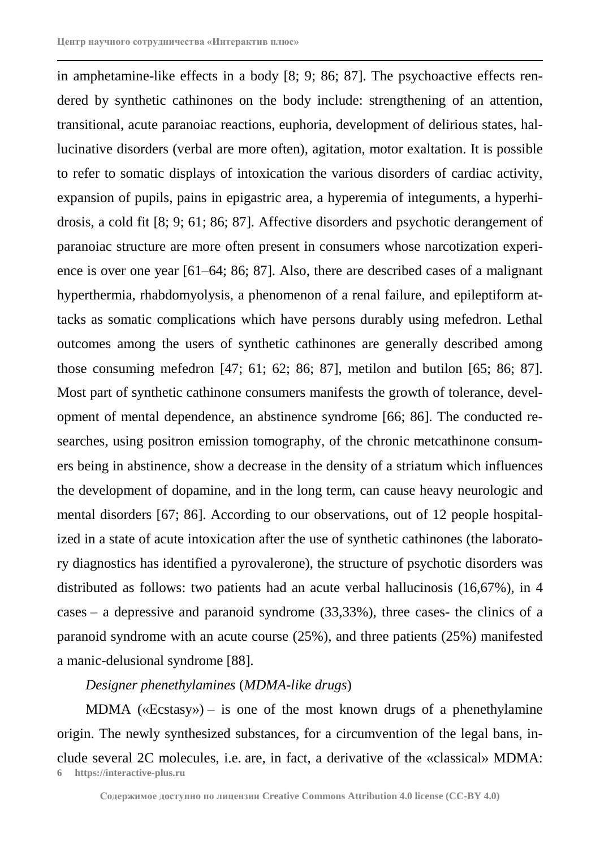in amphetamine-like effects in a body [8; 9; 86; 87]. The psychoactive effects rendered by synthetic cathinones on the body include: strengthening of an attention, transitional, acute paranoiac reactions, euphoria, development of delirious states, hallucinative disorders (verbal are more often), agitation, motor exaltation. It is possible to refer to somatic displays of intoxication the various disorders of cardiac activity, expansion of pupils, pains in epigastric area, a hyperemia of integuments, a hyperhidrosis, a cold fit [8; 9; 61; 86; 87]. Affective disorders and psychotic derangement of paranoiac structure are more often present in consumers whose narcotization experience is over one year [61–64; 86; 87]. Also, there are described cases of a malignant hyperthermia, rhabdomyolysis, a phenomenon of a renal failure, and epileptiform attacks as somatic complications which have persons durably using mefedron. Lethal outcomes among the users of synthetic cathinones are generally described among those consuming mefedron [47; 61; 62; 86; 87], metilon and butilon [65; 86; 87]. Most part of synthetic cathinone consumers manifests the growth of tolerance, development of mental dependence, an abstinence syndrome [66; 86]. The conducted researches, using positron emission tomography, of the chronic metcathinone consumers being in abstinence, show a decrease in the density of a striatum which influences the development of dopamine, and in the long term, can cause heavy neurologic and mental disorders [67; 86]. According to our observations, out of 12 people hospitalized in a state of acute intoxication after the use of synthetic cathinones (the laboratory diagnostics has identified a pyrovalerone), the structure of psychotic disorders was distributed as follows: two patients had an acute verbal hallucinosis (16,67%), in 4 cases – a depressive and paranoid syndrome (33,33%), three cases- the clinics of a paranoid syndrome with an acute course (25%), and three patients (25%) manifested a manic-delusional syndrome [88].

# *Designer phenethylamines* (*MDMA*-*like drugs*)

**6 https://interactive-plus.ru** MDMA  $(\langle E{\text{cstasy}}\rangle)$  – is one of the most known drugs of a phenethylamine origin. The newly synthesized substances, for a circumvention of the legal bans, include several 2C molecules, i.e. are, in fact, a derivative of the «classical» MDMA: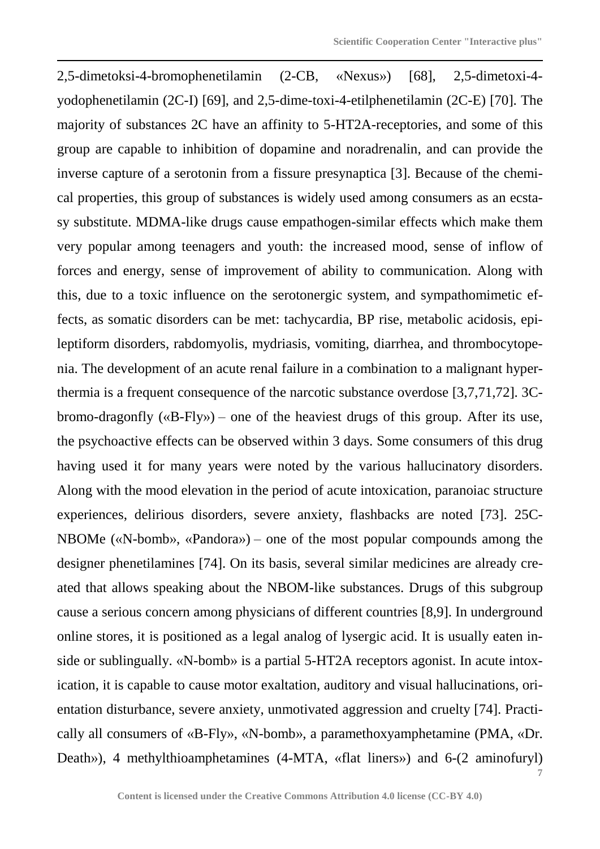**7** 2,5-dimetoksi-4-bromophenetilamin (2-CB, «Nexus») [68], 2,5-dimetoxi-4 yodophenetilamin (2C-I) [69], and 2,5-dime-toxi-4-etilphenetilamin (2C-E) [70]. The majority of substances 2C have an affinity to 5-HT2A-receptories, and some of this group are capable to inhibition of dopamine and noradrenalin, and can provide the inverse capture of a serotonin from a fissure presynaptica [3]. Because of the chemical properties, this group of substances is widely used among consumers as an ecstasy substitute. MDMA-like drugs cause empathogen-similar effects which make them very popular among teenagers and youth: the increased mood, sense of inflow of forces and energy, sense of improvement of ability to communication. Along with this, due to a toxic influence on the serotonergic system, and sympathomimetic effects, as somatic disorders can be met: tachycardia, BP rise, metabolic acidosis, epileptiform disorders, rabdomyolis, mydriasis, vomiting, diarrhea, and thrombocytopenia. The development of an acute renal failure in a combination to a malignant hyperthermia is a frequent consequence of the narcotic substance overdose [3,7,71,72]. 3Cbromo-dragonfly («B-Fly») – one of the heaviest drugs of this group. After its use, the psychoactive effects can be observed within 3 days. Some consumers of this drug having used it for many years were noted by the various hallucinatory disorders. Along with the mood elevation in the period of acute intoxication, paranoiac structure experiences, delirious disorders, severe anxiety, flashbacks are noted [73]. 25C-NBOMe («N-bomb», «Pandora») – one of the most popular compounds among the designer phenetilamines [74]. On its basis, several similar medicines are already created that allows speaking about the NBOM-like substances. Drugs of this subgroup cause a serious concern among physicians of different countries [8,9]. In underground online stores, it is positioned as a legal analog of lysergic acid. It is usually eaten inside or sublingually. «N-bomb» is a partial 5-HT2A receptors agonist. In acute intoxication, it is capable to cause motor exaltation, auditory and visual hallucinations, orientation disturbance, severe anxiety, unmotivated aggression and cruelty [74]. Practically all consumers of «B-Fly», «N-bomb», a paramethoxyamphetamine (PMA, «Dr. Death»), 4 methylthioamphetamines (4-MTA, «flat liners») and 6-(2 aminofuryl)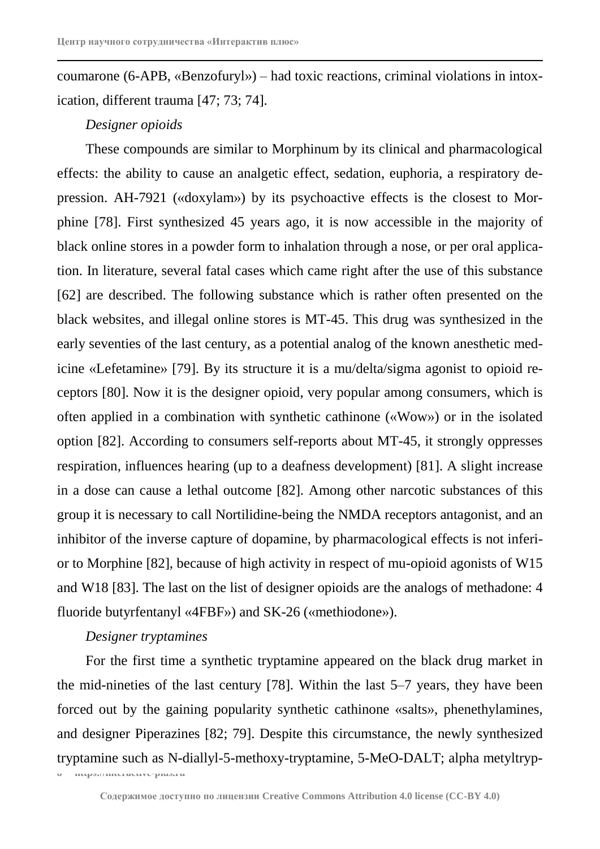coumarone (6-APB, «Benzofuryl») – had toxic reactions, criminal violations in intoxication, different trauma [47; 73; 74].

# *Designer opioids*

These compounds are similar to Morphinum by its clinical and pharmacological effects: the ability to cause an analgetic effect, sedation, euphoria, a respiratory depression. AH-7921 («doxylam») by its psychoactive effects is the closest to Morphine [78]. First synthesized 45 years ago, it is now accessible in the majority of black online stores in a powder form to inhalation through a nose, or per oral application. In literature, several fatal cases which came right after the use of this substance [62] are described. The following substance which is rather often presented on the black websites, and illegal online stores is MT-45. This drug was synthesized in the early seventies of the last century, as a potential analog of the known anesthetic medicine «Lefetamine» [79]. By its structure it is a mu/delta/sigma agonist to opioid receptors [80]. Now it is the designer opioid, very popular among consumers, which is often applied in a combination with synthetic cathinone («Wow») or in the isolated option [82]. According to consumers self-reports about MT-45, it strongly oppresses respiration, influences hearing (up to a deafness development) [81]. A slight increase in a dose can cause a lethal outcome [82]. Among other narcotic substances of this group it is necessary to call Nortilidine-being the NMDA receptors antagonist, and an inhibitor of the inverse capture of dopamine, by pharmacological effects is not inferior to Morphine [82], because of high activity in respect of mu-opioid agonists of W15 and W18 [83]. The last on the list of designer opioids are the analogs of methadone: 4 fluoride butyrfentanyl «4FBF») and SK-26 («methiodone»).

# *Designer tryptamines*

For the first time a synthetic tryptamine appeared on the black drug market in the mid-nineties of the last century [78]. Within the last 5–7 years, they have been forced out by the gaining popularity synthetic cathinone «salts», phenethylamines, and designer Piperazines [82; 79]. Despite this circumstance, the newly synthesized tryptamine such as N-diallyl-5-methoxy-tryptamine, 5-MeO-DALT; alpha metyltryp-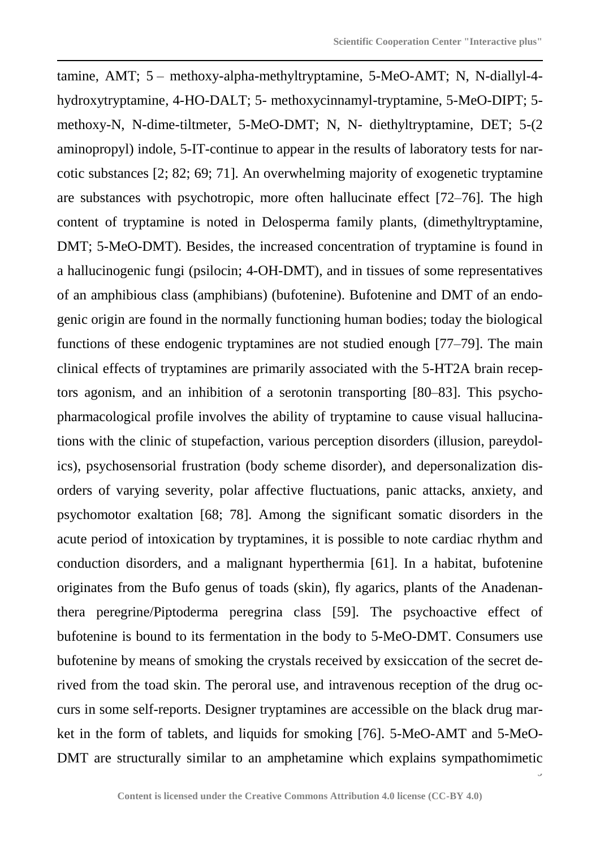tamine, AMT; 5 – methoxy-alpha-methyltryptamine, 5-MeO-AMT; N, N-diallyl-4 hydroxytryptamine, 4-HO-DALT; 5- methoxycinnamyl-tryptamine, 5-MeO-DIPT; 5 methoxy-N, N-dime-tiltmeter, 5-MeO-DMT; N, N- diethyltryptamine, DET; 5-(2 aminopropyl) indole, 5-IT-continue to appear in the results of laboratory tests for narcotic substances [2; 82; 69; 71]. An overwhelming majority of exogenetic tryptamine are substances with psychotropic, more often hallucinate effect [72–76]. The high content of tryptamine is noted in Delosperma family plants, (dimethyltryptamine, DMT; 5-MeO-DMT). Besides, the increased concentration of tryptamine is found in a hallucinogenic fungi (psilocin; 4-OH-DMT), and in tissues of some representatives of an amphibious class (amphibians) (bufotenine). Bufotenine and DMT of an endogenic origin are found in the normally functioning human bodies; today the biological functions of these endogenic tryptamines are not studied enough [77–79]. The main clinical effects of tryptamines are primarily associated with the 5-HT2A brain receptors agonism, and an inhibition of a serotonin transporting [80–83]. This psychopharmacological profile involves the ability of tryptamine to cause visual hallucinations with the clinic of stupefaction, various perception disorders (illusion, pareydolics), psychosensorial frustration (body scheme disorder), and depersonalization disorders of varying severity, polar affective fluctuations, panic attacks, anxiety, and psychomotor exaltation [68; 78]. Among the significant somatic disorders in the acute period of intoxication by tryptamines, it is possible to note cardiac rhythm and conduction disorders, and a malignant hyperthermia [61]. In a habitat, bufotenine originates from the Bufo genus of toads (skin), fly agarics, plants of the Anadenanthera peregrine/Piptoderma peregrina class [59]. The psychoactive effect of bufotenine is bound to its fermentation in the body to 5-MeO-DMT. Consumers use bufotenine by means of smoking the crystals received by exsiccation of the secret derived from the toad skin. The peroral use, and intravenous reception of the drug occurs in some self-reports. Designer tryptamines are accessible on the black drug market in the form of tablets, and liquids for smoking [76]. 5-MeO-AMT and 5-MeO-DMT are structurally similar to an amphetamine which explains sympathomimetic

**9**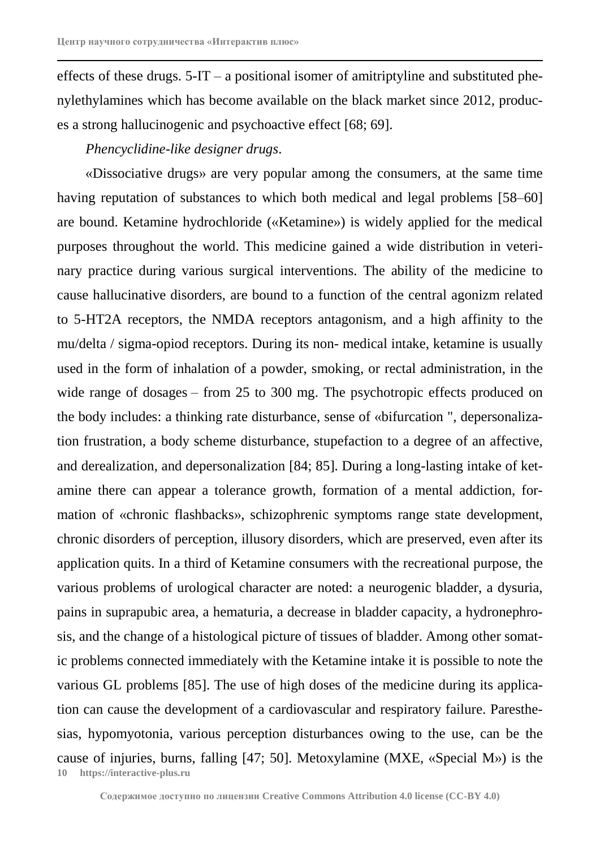effects of these drugs.  $5-\text{IT} - a$  positional isomer of amitriptyline and substituted phenylethylamines which has become available on the black market since 2012, produces a strong hallucinogenic and psychoactive effect [68; 69].

# *Phencyclidine*-*like designer drugs*.

**10 https://interactive-plus.ru** «Dissociative drugs» are very popular among the consumers, at the same time having reputation of substances to which both medical and legal problems [58–60] are bound. Ketamine hydrochloride («Ketamine») is widely applied for the medical purposes throughout the world. This medicine gained a wide distribution in veterinary practice during various surgical interventions. The ability of the medicine to cause hallucinative disorders, are bound to a function of the central agonizm related to 5-HT2A receptors, the NMDA receptors antagonism, and a high affinity to the mu/delta / sigma-opiod receptors. During its non- medical intake, ketamine is usually used in the form of inhalation of a powder, smoking, or rectal administration, in the wide range of dosages – from 25 to 300 mg. The psychotropic effects produced on the body includes: a thinking rate disturbance, sense of «bifurcation ", depersonalization frustration, a body scheme disturbance, stupefaction to a degree of an affective, and derealization, and depersonalization [84; 85]. During a long-lasting intake of ketamine there can appear a tolerance growth, formation of a mental addiction, formation of «chronic flashbacks», schizophrenic symptoms range state development, chronic disorders of perception, illusory disorders, which are preserved, even after its application quits. In a third of Ketamine consumers with the recreational purpose, the various problems of urological character are noted: a neurogenic bladder, a dysuria, pains in suprapubic area, a hematuria, a decrease in bladder capacity, a hydronephrosis, and the change of a histological picture of tissues of bladder. Among other somatic problems connected immediately with the Ketamine intake it is possible to note the various GL problems [85]. The use of high doses of the medicine during its application can cause the development of a cardiovascular and respiratory failure. Paresthesias, hypomyotonia, various perception disturbances owing to the use, can be the cause of injuries, burns, falling [47; 50]. Metoxylamine (MXE, «Special M») is the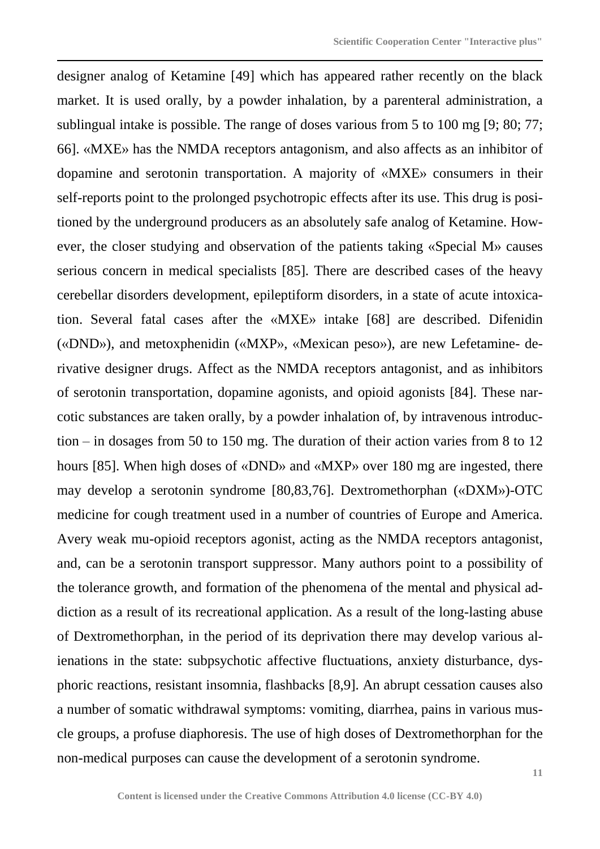designer analog of Ketamine [49] which has appeared rather recently on the black market. It is used orally, by a powder inhalation, by a parenteral administration, a sublingual intake is possible. The range of doses various from 5 to 100 mg [9; 80; 77; 66]. «MXE» has the NMDA receptors antagonism, and also affects as an inhibitor of dopamine and serotonin transportation. A majority of «MXE» consumers in their self-reports point to the prolonged psychotropic effects after its use. This drug is positioned by the underground producers as an absolutely safe analog of Ketamine. However, the closer studying and observation of the patients taking «Special M» causes serious concern in medical specialists [85]. There are described cases of the heavy cerebellar disorders development, epileptiform disorders, in a state of acute intoxication. Several fatal cases after the «MXE» intake [68] are described. Difenidin («DND»), and metoxphenidin («MXP», «Mexican peso»), are new Lefetamine- derivative designer drugs. Affect as the NMDA receptors antagonist, and as inhibitors of serotonin transportation, dopamine agonists, and opioid agonists [84]. These narcotic substances are taken orally, by a powder inhalation of, by intravenous introduction – in dosages from 50 to 150 mg. The duration of their action varies from 8 to 12 hours [85]. When high doses of «DND» and «MXP» over 180 mg are ingested, there may develop a serotonin syndrome [80,83,76]. Dextromethorphan («DXM»)-OTC medicine for cough treatment used in a number of countries of Europe and America. Avery weak mu-opioid receptors agonist, acting as the NMDA receptors antagonist, and, can be a serotonin transport suppressor. Many authors point to a possibility of the tolerance growth, and formation of the phenomena of the mental and physical addiction as a result of its recreational application. As a result of the long-lasting abuse of Dextromethorphan, in the period of its deprivation there may develop various alienations in the state: subpsychotic affective fluctuations, anxiety disturbance, dysphoric reactions, resistant insomnia, flashbacks [8,9]. An abrupt cessation causes also a number of somatic withdrawal symptoms: vomiting, diarrhea, pains in various muscle groups, a profuse diaphoresis. The use of high doses of Dextromethorphan for the non-medical purposes can cause the development of a serotonin syndrome.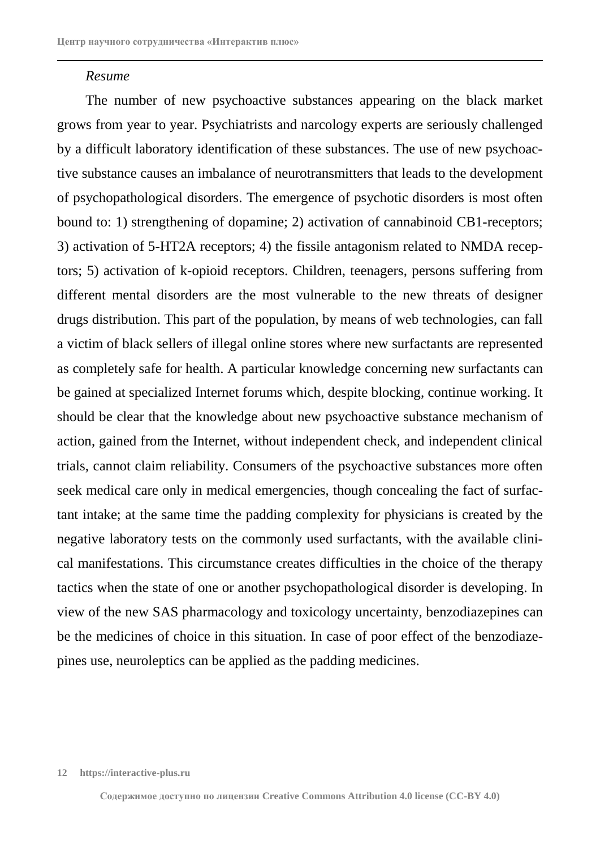### *Resume*

The number of new psychoactive substances appearing on the black market grows from year to year. Psychiatrists and narcology experts are seriously challenged by a difficult laboratory identification of these substances. The use of new psychoactive substance causes an imbalance of neurotransmitters that leads to the development of psychopathological disorders. The emergence of psychotic disorders is most often bound to: 1) strengthening of dopamine; 2) activation of cannabinoid CB1-receptors; 3) activation of 5-HT2A receptors; 4) the fissile antagonism related to NMDA receptors; 5) activation of k-opioid receptors. Children, teenagers, persons suffering from different mental disorders are the most vulnerable to the new threats of designer drugs distribution. This part of the population, by means of web technologies, can fall a victim of black sellers of illegal online stores where new surfactants are represented as completely safe for health. A particular knowledge concerning new surfactants can be gained at specialized Internet forums which, despite blocking, continue working. It should be clear that the knowledge about new psychoactive substance mechanism of action, gained from the Internet, without independent check, and independent clinical trials, cannot claim reliability. Consumers of the psychoactive substances more often seek medical care only in medical emergencies, though concealing the fact of surfactant intake; at the same time the padding complexity for physicians is created by the negative laboratory tests on the commonly used surfactants, with the available clinical manifestations. This circumstance creates difficulties in the choice of the therapy tactics when the state of one or another psychopathological disorder is developing. In view of the new SAS pharmacology and toxicology uncertainty, benzodiazepines can be the medicines of choice in this situation. In case of poor effect of the benzodiazepines use, neuroleptics can be applied as the padding medicines.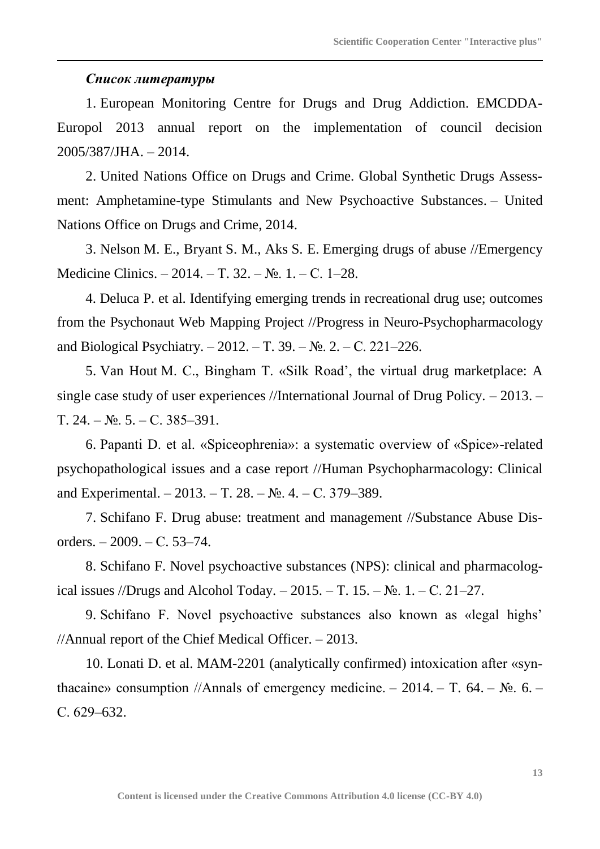## *Список литературы*

1. European Monitoring Centre for Drugs and Drug Addiction. EMCDDA-Europol 2013 annual report on the implementation of council decision 2005/387/JHA. – 2014.

2. United Nations Office on Drugs and Crime. Global Synthetic Drugs Assessment: Amphetamine-type Stimulants and New Psychoactive Substances. – United Nations Office on Drugs and Crime, 2014.

3. Nelson M. E., Bryant S. M., Aks S. E. Emerging drugs of abuse //Emergency Medicine Clinics. – 2014. – Т. 32. – №. 1. – С. 1–28.

4. Deluca P. et al. Identifying emerging trends in recreational drug use; outcomes from the Psychonaut Web Mapping Project //Progress in Neuro-Psychopharmacology and Biological Psychiatry. – 2012. – Т. 39. – №. 2. – С. 221–226.

5. Van Hout M. C., Bingham T. «Silk Road', the virtual drug marketplace: A single case study of user experiences //International Journal of Drug Policy. – 2013. – Т. 24. – №. 5. – С. 385–391.

6. Papanti D. et al. «Spiceophrenia»: a systematic overview of «Spice»-related psychopathological issues and a case report //Human Psychopharmacology: Clinical and Experimental. – 2013. – Т. 28. –  $N_2$ . 4. – С. 379–389.

7. Schifano F. Drug abuse: treatment and management //Substance Abuse Disorders. – 2009. – С. 53–74.

8. Schifano F. Novel psychoactive substances (NPS): clinical and pharmacological issues //Drugs and Alcohol Today. – 2015. – T. 15. –  $\mathbb{N}_2$ . 1. – C. 21–27.

9. Schifano F. Novel psychoactive substances also known as «legal highs' //Annual report of the Chief Medical Officer. – 2013.

10. Lonati D. et al. MAM-2201 (analytically confirmed) intoxication after «synthacaine» consumption //Annals of emergency medicine. – 2014. – T. 64. –  $\mathbb{N}_2$ . 6. – С. 629–632.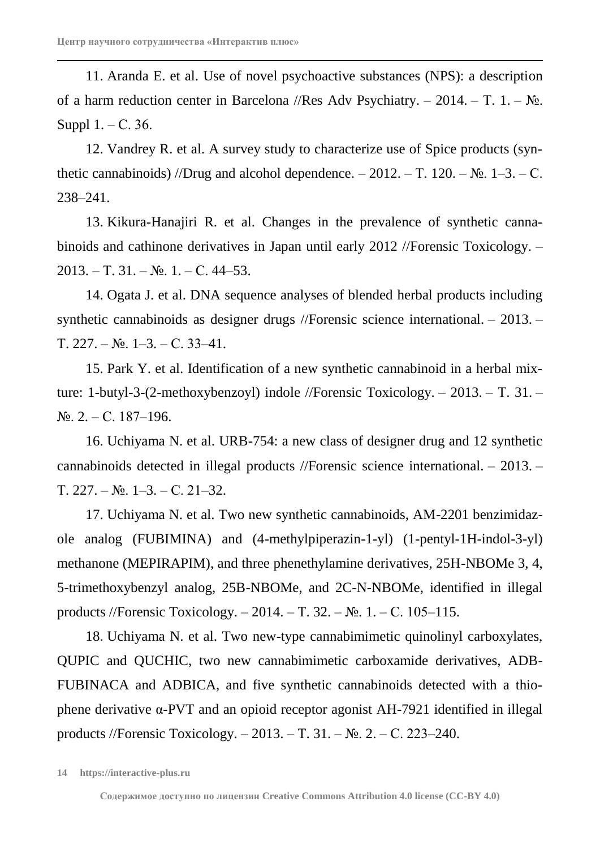11. Aranda E. et al. Use of novel psychoactive substances (NPS): a description of a harm reduction center in Barcelona //Res Adv Psychiatry. – 2014. – T. 1. –  $N_2$ . Suppl 1. – С. 36.

12. Vandrey R. et al. A survey study to characterize use of Spice products (synthetic cannabinoids) //Drug and alcohol dependence.  $-2012$ . – T. 120. – No. 1–3. – C. 238–241.

13. Kikura-Hanajiri R. et al. Changes in the prevalence of synthetic cannabinoids and cathinone derivatives in Japan until early 2012 //Forensic Toxicology. –  $2013. - T. 31. - N<sub>2</sub>. 1. - C. 44-53.$ 

14. Ogata J. et al. DNA sequence analyses of blended herbal products including synthetic cannabinoids as designer drugs //Forensic science international. – 2013. – Т. 227. – №. 1–3. – С. 33–41.

15. Park Y. et al. Identification of a new synthetic cannabinoid in a herbal mixture: 1-butyl-3-(2-methoxybenzoyl) indole //Forensic Toxicology. – 2013. – Т. 31. –  $N_{\text{2}}$ . 2. – C. 187–196.

16. Uchiyama N. et al. URB-754: a new class of designer drug and 12 synthetic cannabinoids detected in illegal products //Forensic science international. – 2013. – Т. 227. – №. 1–3. – С. 21–32.

17. Uchiyama N. et al. Two new synthetic cannabinoids, AM-2201 benzimidazole analog (FUBIMINA) and (4-methylpiperazin-1-yl) (1-pentyl-1H-indol-3-yl) methanone (MEPIRAPIM), and three phenethylamine derivatives, 25H-NBOMe 3, 4, 5-trimethoxybenzyl analog, 25B-NBOMe, and 2C-N-NBOMe, identified in illegal products //Forensic Toxicology. – 2014. – T. 32. –  $N_2$ . 1. – C. 105–115.

18. Uchiyama N. et al. Two new-type cannabimimetic quinolinyl carboxylates, QUPIC and QUCHIC, two new cannabimimetic carboxamide derivatives, ADB-FUBINACA and ADBICA, and five synthetic cannabinoids detected with a thiophene derivative α-PVT and an opioid receptor agonist AH-7921 identified in illegal products //Forensic Toxicology. – 2013. – Т. 31. – №. 2. – С. 223–240.

**<sup>14</sup> https://interactive-plus.ru**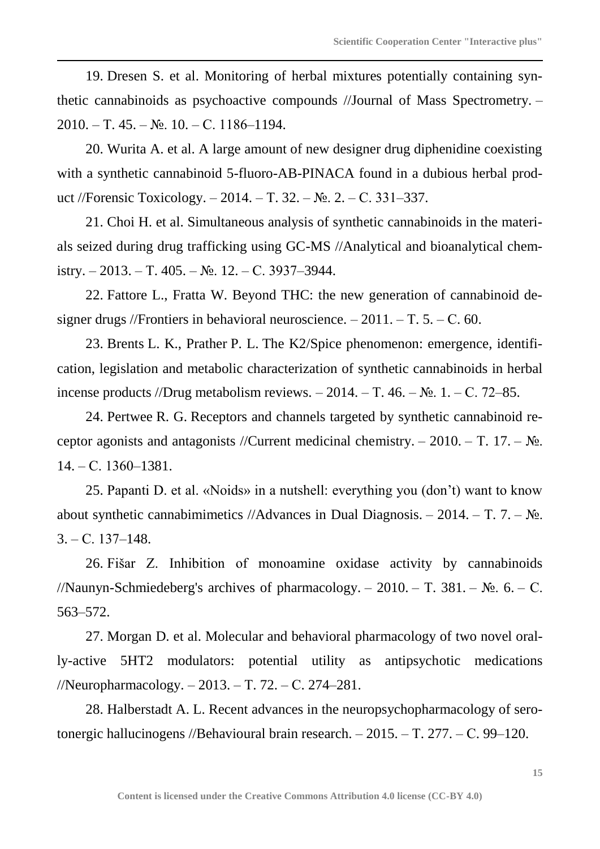19. Dresen S. et al. Monitoring of herbal mixtures potentially containing synthetic cannabinoids as psychoactive compounds //Journal of Mass Spectrometry. – 2010. – Т. 45. – №. 10. – С. 1186–1194.

20. Wurita A. et al. A large amount of new designer drug diphenidine coexisting with a synthetic cannabinoid 5-fluoro-AB-PINACA found in a dubious herbal product //Forensic Toxicology. – 2014. – Т. 32. – №. 2. – С. 331–337.

21. Choi H. et al. Simultaneous analysis of synthetic cannabinoids in the materials seized during drug trafficking using GC-MS //Analytical and bioanalytical chemistry. – 2013. – Т. 405. – №. 12. – С. 3937–3944.

22. Fattore L., Fratta W. Beyond THC: the new generation of cannabinoid designer drugs //Frontiers in behavioral neuroscience.  $-2011$ .  $-$  T. 5.  $-$  C. 60.

23. Brents L. K., Prather P. L. The K2/Spice phenomenon: emergence, identification, legislation and metabolic characterization of synthetic cannabinoids in herbal incense products //Drug metabolism reviews. – 2014. – T. 46. –  $N_2$ . 1. – C. 72–85.

24. Pertwee R. G. Receptors and channels targeted by synthetic cannabinoid receptor agonists and antagonists //Current medicinal chemistry. – 2010. – T. 17. –  $\mathbb{N}_2$ . 14. – С. 1360–1381.

25. Papanti D. et al. «Noids» in a nutshell: everything you (don't) want to know about synthetic cannabimimetics //Advances in Dual Diagnosis. – 2014. – T. 7. –  $N_2$ .  $3. - C. 137 - 148.$ 

26. Fišar Z. Inhibition of monoamine oxidase activity by cannabinoids //Naunyn-Schmiedeberg's archives of pharmacology. – 2010. – T. 381. –  $\mathbb{N}_2$ . 6. – C. 563–572.

27. Morgan D. et al. Molecular and behavioral pharmacology of two novel orally-active 5HT2 modulators: potential utility as antipsychotic medications //Neuropharmacology. – 2013. – Т. 72. – С. 274–281.

28. Halberstadt A. L. Recent advances in the neuropsychopharmacology of serotonergic hallucinogens //Behavioural brain research. – 2015. – Т. 277. – С. 99–120.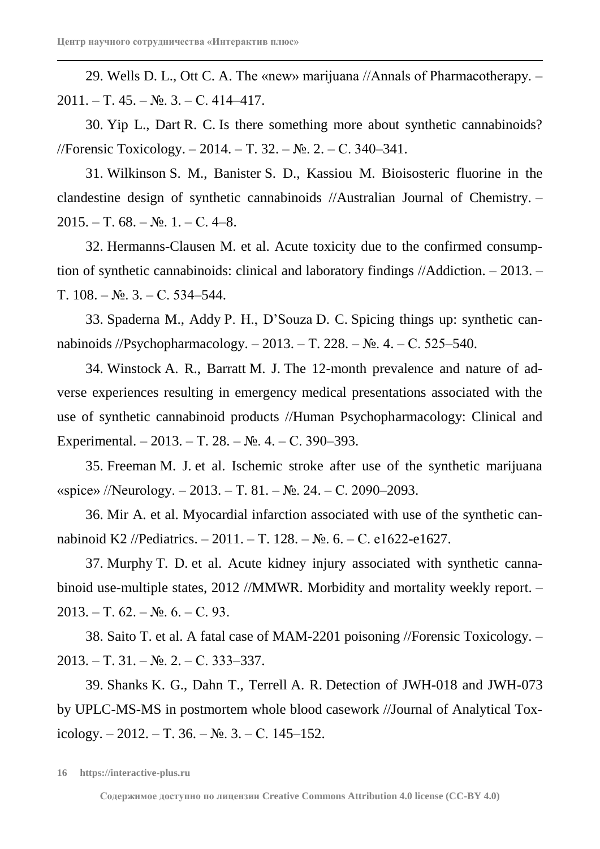29. Wells D. L., Ott C. A. The «new» marijuana //Annals of Pharmacotherapy. –  $2011. - T. 45. - N<sub>2</sub>. 3. - C. 414-417.$ 

30. Yip L., Dart R. C. Is there something more about synthetic cannabinoids? //Forensic Toxicology. – 2014. – Т. 32. – №. 2. – С. 340–341.

31. Wilkinson S. M., Banister S. D., Kassiou M. Bioisosteric fluorine in the clandestine design of synthetic cannabinoids //Australian Journal of Chemistry. –  $2015. - T. 68. - N_{2}$ . 1. – C. 4–8.

32. Hermanns-Clausen M. et al. Acute toxicity due to the confirmed consumption of synthetic cannabinoids: clinical and laboratory findings //Addiction. – 2013. – Т. 108. – №. 3. – С. 534–544.

33. Spaderna M., Addy P. H., D'Souza D. C. Spicing things up: synthetic cannabinoids //Psychopharmacology. – 2013. – Т. 228. – №. 4. – С. 525–540.

34. Winstock A. R., Barratt M. J. The 12-month prevalence and nature of adverse experiences resulting in emergency medical presentations associated with the use of synthetic cannabinoid products //Human Psychopharmacology: Clinical and Experimental. – 2013. – Т. 28. – №. 4. – С. 390–393.

35. Freeman M. J. et al. Ischemic stroke after use of the synthetic marijuana «spice» //Neurology. – 2013. – T. 81. –  $N_2$ . 24. – C. 2090–2093.

36. Mir A. et al. Myocardial infarction associated with use of the synthetic cannabinoid K2 //Pediatrics. – 2011. – Т. 128. – №. 6. – С. e1622-e1627.

37. Murphy T. D. et al. Acute kidney injury associated with synthetic cannabinoid use-multiple states, 2012 //MMWR. Morbidity and mortality weekly report. –  $2013. - T. 62. - N_2. 6. - C. 93.$ 

38. Saito T. et al. A fatal case of MAM-2201 poisoning //Forensic Toxicology. – 2013. – Т. 31. – №. 2. – С. 333–337.

39. Shanks K. G., Dahn T., Terrell A. R. Detection of JWH-018 and JWH-073 by UPLC-MS-MS in postmortem whole blood casework //Journal of Analytical Toxicology. – 2012. – Т. 36. – №. 3. – С. 145–152.

**<sup>16</sup> https://interactive-plus.ru**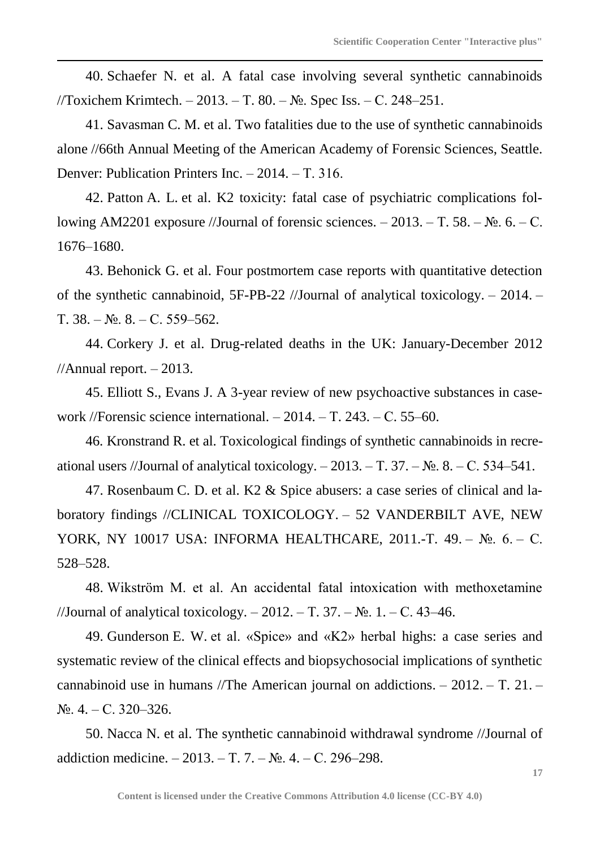40. Schaefer N. et al. A fatal case involving several synthetic cannabinoids //Toxichem Krimtech. – 2013. – Т. 80. – №. Spec Iss. – С. 248–251.

41. Savasman C. M. et al. Two fatalities due to the use of synthetic cannabinoids alone //66th Annual Meeting of the American Academy of Forensic Sciences, Seattle. Denver: Publication Printers Inc. – 2014. – Т. 316.

42. Patton A. L. et al. K2 toxicity: fatal case of psychiatric complications following AM2201 exposure //Journal of forensic sciences.  $-2013$ . – T. 58. – No. 6. – C. 1676–1680.

43. Behonick G. et al. Four postmortem case reports with quantitative detection of the synthetic cannabinoid, 5F-PB-22 //Journal of analytical toxicology. – 2014. – Т. 38. – №. 8. – С. 559–562.

44. Corkery J. et al. Drug-related deaths in the UK: January-December 2012  $//$ Annual report.  $-2013$ .

45. Elliott S., Evans J. A 3-year review of new psychoactive substances in casework //Forensic science international. – 2014. – Т. 243. – С. 55–60.

46. Kronstrand R. et al. Toxicological findings of synthetic cannabinoids in recreational users //Journal of analytical toxicology.  $-2013$ . – T. 37. – No. 8. – C. 534–541.

47. Rosenbaum C. D. et al. K2 & Spice abusers: a case series of clinical and laboratory findings //CLINICAL TOXICOLOGY. – 52 VANDERBILT AVE, NEW YORK, NY 10017 USA: INFORMA HEALTHCARE, 2011.-Т. 49. – №. 6. – С. 528–528.

48. Wikström M. et al. An accidental fatal intoxication with methoxetamine //Journal of analytical toxicology. – 2012. – T. 37. –  $\mathbb{N}_2$ . 1. – C. 43–46.

49. Gunderson E. W. et al. «Spice» and «K2» herbal highs: a case series and systematic review of the clinical effects and biopsychosocial implications of synthetic cannabinoid use in humans //The American journal on addictions. – 2012. – Т. 21. –  $N_2$ , 4. – C. 320–326.

50. Nacca N. et al. The synthetic cannabinoid withdrawal syndrome //Journal of addiction medicine. – 2013. – Т. 7. –  $N_2$ . 4. – С. 296–298.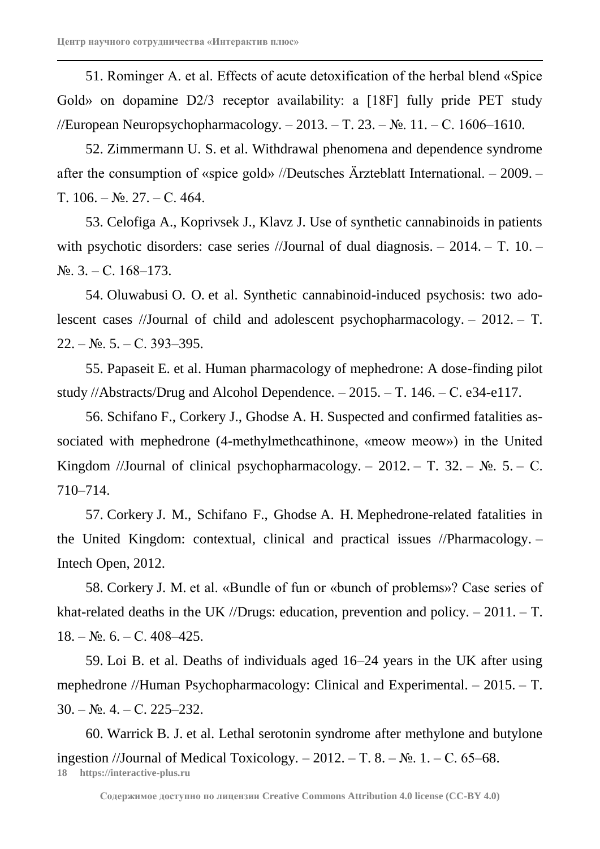51. Rominger A. et al. Effects of acute detoxification of the herbal blend «Spice Gold» on dopamine D2/3 receptor availability: a [18F] fully pride PET study //European Neuropsychopharmacology. – 2013. – Т. 23. – №. 11. – С. 1606–1610.

52. Zimmermann U. S. et al. Withdrawal phenomena and dependence syndrome after the consumption of «spice gold» //Deutsches Ärzteblatt International. – 2009. – Т. 106. – №. 27. – С. 464.

53. Celofiga A., Koprivsek J., Klavz J. Use of synthetic cannabinoids in patients with psychotic disorders: case series //Journal of dual diagnosis. – 2014. – T. 10. –  $N_{\Omega}$ , 3. – C. 168–173.

54. Oluwabusi O. O. et al. Synthetic cannabinoid-induced psychosis: two adolescent cases //Journal of child and adolescent psychopharmacology. – 2012. – Т.  $22. - N_2$ . 5. – C. 393–395.

55. Papaseit E. et al. Human pharmacology of mephedrone: A dose-finding pilot study //Abstracts/Drug and Alcohol Dependence. – 2015. – Т. 146. – С. e34-e117.

56. Schifano F., Corkery J., Ghodse A. H. Suspected and confirmed fatalities associated with mephedrone (4-methylmethcathinone, «meow meow») in the United Kingdom //Journal of clinical psychopharmacology. – 2012. – T. 32. –  $\mathbb{N}_2$ . 5. – C. 710–714.

57. Corkery J. M., Schifano F., Ghodse A. H. Mephedrone-related fatalities in the United Kingdom: contextual, clinical and practical issues //Pharmacology. – Intech Open, 2012.

58. Corkery J. M. et al. «Bundle of fun or «bunch of problems»? Case series of khat-related deaths in the UK //Drugs: education, prevention and policy.  $-2011$ .  $-$  T.  $18. - N_2$ . 6. – C. 408–425.

59. Loi B. et al. Deaths of individuals aged 16–24 years in the UK after using mephedrone //Human Psychopharmacology: Clinical and Experimental. – 2015. – T.  $30. - N_2$ . 4. – C. 225–232.

**18 https://interactive-plus.ru** 60. Warrick B. J. et al. Lethal serotonin syndrome after methylone and butylone ingestion //Journal of Medical Toxicology. – 2012. – T. 8. –  $N_2$ . 1. – C. 65–68.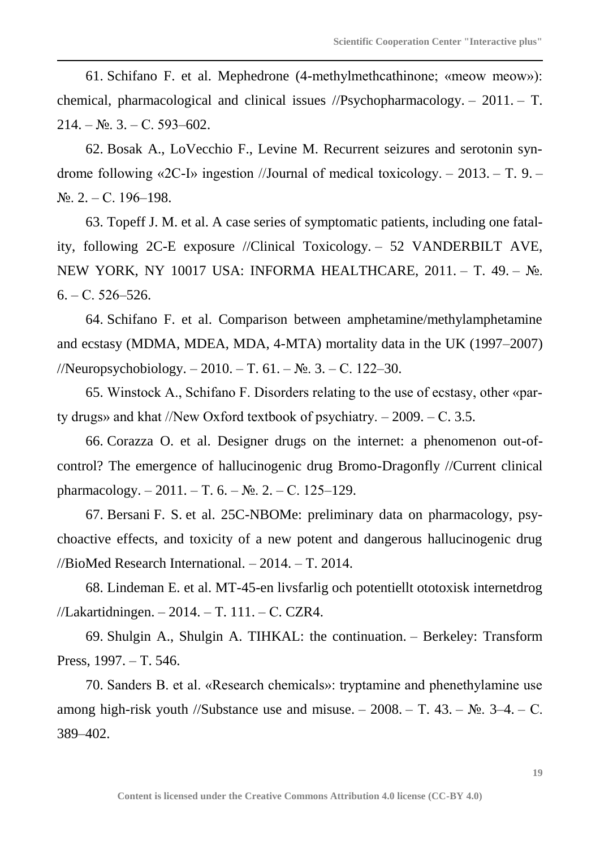61. Schifano F. et al. Mephedrone (4-methylmethcathinone; «meow meow»): chemical, pharmacological and clinical issues //Psychopharmacology. – 2011. – Т.  $214. - N_2$ . 3. – C. 593–602.

62. Bosak A., LoVecchio F., Levine M. Recurrent seizures and serotonin syndrome following «2C-I» ingestion //Journal of medical toxicology. – 2013. – Т. 9. –  $N_2$ , 2. – C. 196–198.

63. Topeff J. M. et al. A case series of symptomatic patients, including one fatality, following 2C-E exposure //Clinical Toxicology. – 52 VANDERBILT AVE, NEW YORK, NY 10017 USA: INFORMA HEALTHCARE, 2011. – T. 49. – №.  $6. - C. 526 - 526.$ 

64. Schifano F. et al. Comparison between amphetamine/methylamphetamine and ecstasy (MDMA, MDEA, MDA, 4-MTA) mortality data in the UK (1997–2007) //Neuropsychobiology. –  $2010$ . – T. 61. – No. 3. – C. 122–30.

65. Winstock A., Schifano F. Disorders relating to the use of ecstasy, other «party drugs» and khat //New Oxford textbook of psychiatry. – 2009. – С. 3.5.

66. Corazza O. et al. Designer drugs on the internet: a phenomenon out-ofcontrol? The emergence of hallucinogenic drug Bromo-Dragonfly //Current clinical pharmacology.  $-2011$ . – T. 6. – No. 2. – C. 125–129.

67. Bersani F. S. et al. 25C-NBOMe: preliminary data on pharmacology, psychoactive effects, and toxicity of a new potent and dangerous hallucinogenic drug //BioMed Research International. – 2014. – Т. 2014.

68. Lindeman E. et al. MT-45-en livsfarlig och potentiellt ototoxisk internetdrog //Lakartidningen. – 2014. – Т. 111. – С. CZR4.

69. Shulgin A., Shulgin A. TIHKAL: the continuation. – Berkeley: Transform Press, 1997. – Т. 546.

70. Sanders B. et al. «Research chemicals»: tryptamine and phenethylamine use among high-risk youth //Substance use and misuse. –  $2008$ . – T. 43. –  $\mathcal{N}_2$ . 3–4. – C. 389–402.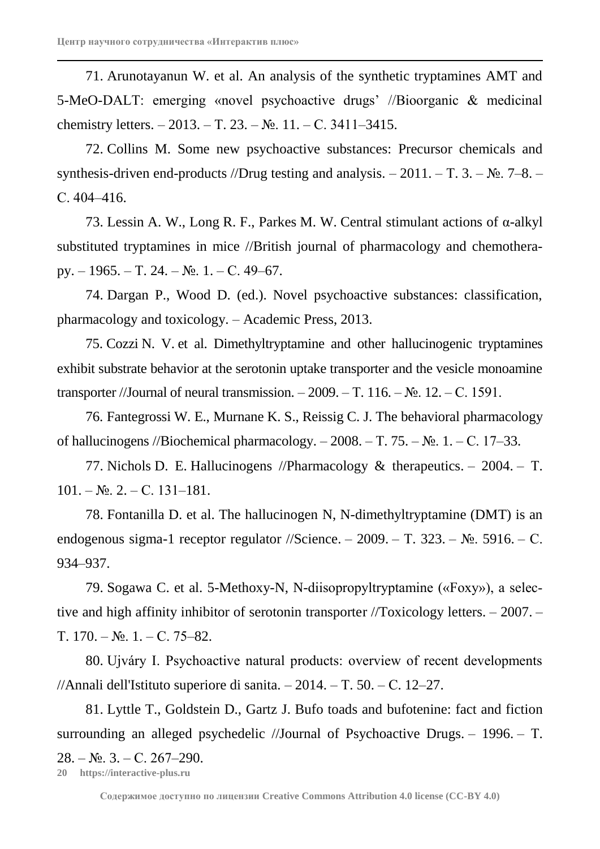71. Arunotayanun W. et al. An analysis of the synthetic tryptamines AMT and 5-MeO-DALT: emerging «novel psychoactive drugs' //Bioorganic & medicinal chemistry letters. – 2013. – Т. 23. – №. 11. – С. 3411–3415.

72. Collins M. Some new psychoactive substances: Precursor chemicals and synthesis-driven end-products //Drug testing and analysis.  $-2011$ .  $-\mathrm{T}$ . 3.  $-\mathrm{Ne}$ .  $7-8$ .  $-$ С. 404–416.

73. Lessin A. W., Long R. F., Parkes M. W. Central stimulant actions of  $\alpha$ -alkyl substituted tryptamines in mice //British journal of pharmacology and chemotherapy. – 1965. – Т. 24. –  $\mathbb{N}_{2}$ . 1. – С. 49–67.

74. Dargan P., Wood D. (ed.). Novel psychoactive substances: classification, pharmacology and toxicology. – Academic Press, 2013.

75. Cozzi N. V. et al. Dimethyltryptamine and other hallucinogenic tryptamines exhibit substrate behavior at the serotonin uptake transporter and the vesicle monoamine transporter //Journal of neural transmission.  $-2009$ . – T. 116. – No. 12. – C. 1591.

76. Fantegrossi W. E., Murnane K. S., Reissig C. J. The behavioral pharmacology of hallucinogens //Biochemical pharmacology. –  $2008. - T. 75. - N_2. 1. - C. 17-33.$ 

77. Nichols D. E. Hallucinogens //Pharmacology & therapeutics. – 2004. – Т.  $101. - N_{\Omega}$ , 2. – C. 131–181.

78. Fontanilla D. et al. The hallucinogen N, N-dimethyltryptamine (DMT) is an endogenous sigma-1 receptor regulator //Science. – 2009. – Т. 323. – №. 5916. – С. 934–937.

79. Sogawa C. et al. 5-Methoxy-N, N-diisopropyltryptamine («Foxy»), a selective and high affinity inhibitor of serotonin transporter //Toxicology letters. – 2007. –  $T. 170. - N_2$ .  $1. - C. 75-82$ .

80. Ujváry I. Psychoactive natural products: overview of recent developments //Annali dell'Istituto superiore di sanita.  $-2014$ .  $-$  T. 50.  $-$  C. 12–27.

81. Lyttle T., Goldstein D., Gartz J. Bufo toads and bufotenine: fact and fiction surrounding an alleged psychedelic //Journal of Psychoactive Drugs. – 1996. – T.  $28. - N_2$ . 3. – C. 267–290.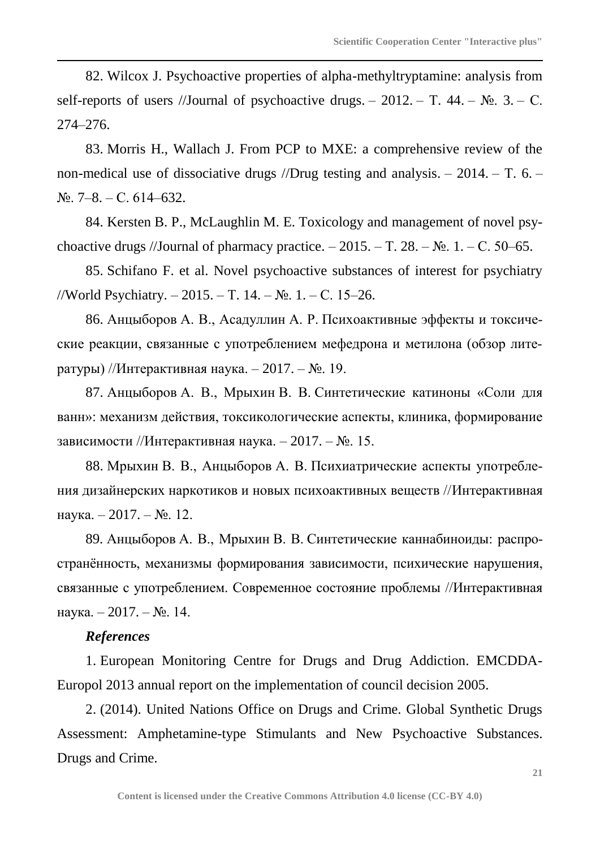82. Wilcox J. Psychoactive properties of alpha-methyltryptamine: analysis from self-reports of users //Journal of psychoactive drugs. – 2012. – T. 44. –  $\mathbb{N}_2$ . 3. – C. 274–276.

83. Morris H., Wallach J. From PCP to MXE: a comprehensive review of the non-medical use of dissociative drugs //Drug testing and analysis. – 2014. – T. 6. – №. 7–8. – С. 614–632.

84. Kersten B. P., McLaughlin M. E. Toxicology and management of novel psychoactive drugs //Journal of pharmacy practice.  $-2015. - T. 28. - N_2. 1. - C. 50-65.$ 

85. Schifano F. et al. Novel psychoactive substances of interest for psychiatry //World Psychiatry. – 2015. – Т. 14. – №. 1. – С. 15–26.

86. Анцыборов А. В., Асадуллин А. Р. Психоактивные эффекты и токсические реакции, связанные с употреблением мефедрона и метилона (обзор литературы) //Интерактивная наука. – 2017. – №. 19.

87. Анцыборов А. В., Мрыхин В. В. Синтетические катиноны «Соли для ванн»: механизм действия, токсикологические аспекты, клиника, формирование зависимости //Интерактивная наука. – 2017. –  $N_2$ . 15.

88. Мрыхин В. В., Анцыборов А. В. Психиатрические аспекты употребления дизайнерских наркотиков и новых психоактивных веществ //Интерактивная наука. – 2017. – №. 12.

89. Анцыборов А. В., Мрыхин В. В. Синтетические каннабиноиды: распространённость, механизмы формирования зависимости, психические нарушения, связанные с употреблением. Современное состояние проблемы //Интерактивная наука. – 2017. – №. 14.

# *References*

1. European Monitoring Centre for Drugs and Drug Addiction. EMCDDA-Europol 2013 annual report on the implementation of council decision 2005.

2. (2014). United Nations Office on Drugs and Crime. Global Synthetic Drugs Assessment: Amphetamine-type Stimulants and New Psychoactive Substances. Drugs and Crime.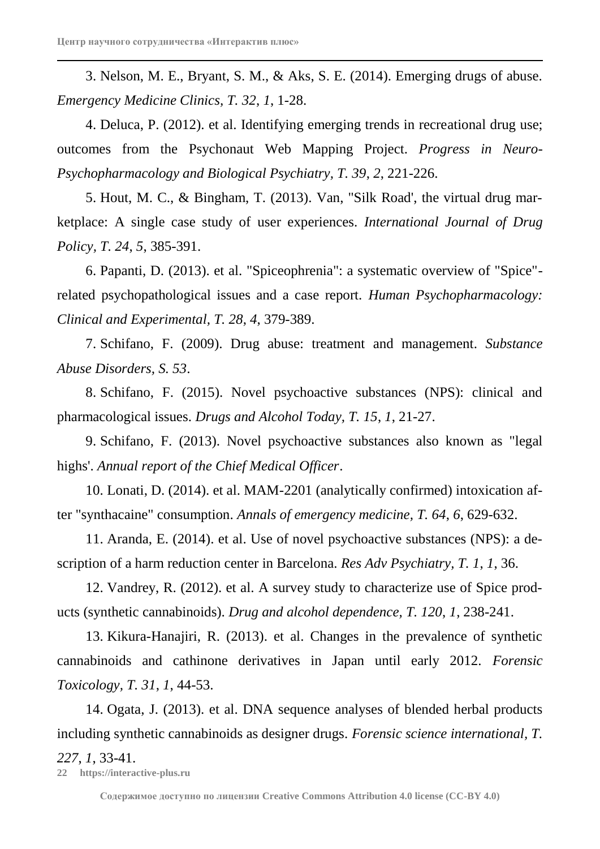3. Nelson, M. E., Bryant, S. M., & Aks, S. E. (2014). Emerging drugs of abuse. *Emergency Medicine Clinics, T. 32*, *1*, 1-28.

4. Deluca, P. (2012). et al. Identifying emerging trends in recreational drug use; outcomes from the Psychonaut Web Mapping Project. *Progress in Neuro-Psychopharmacology and Biological Psychiatry, T. 39*, *2*, 221-226.

5. Hout, M. C., & Bingham, T. (2013). Van, "Silk Road', the virtual drug marketplace: A single case study of user experiences. *International Journal of Drug Policy, T. 24*, *5*, 385-391.

6. Papanti, D. (2013). et al. "Spiceophrenia": a systematic overview of "Spice" related psychopathological issues and a case report. *Human Psychopharmacology: Clinical and Experimental, T. 28*, *4*, 379-389.

7. Schifano, F. (2009). Drug abuse: treatment and management. *Substance Abuse Disorders, S. 53*.

8. Schifano, F. (2015). Novel psychoactive substances (NPS): clinical and pharmacological issues. *Drugs and Alcohol Today, T. 15*, *1*, 21-27.

9. Schifano, F. (2013). Novel psychoactive substances also known as "legal highs'. *Annual report of the Chief Medical Officer*.

10. Lonati, D. (2014). et al. MAM-2201 (analytically confirmed) intoxication after "synthacaine" consumption. *Annals of emergency medicine, T. 64*, *6*, 629-632.

11. Aranda, E. (2014). et al. Use of novel psychoactive substances (NPS): a description of a harm reduction center in Barcelona. *Res Adv Psychiatry, T. 1*, *1*, 36.

12. Vandrey, R. (2012). et al. A survey study to characterize use of Spice products (synthetic cannabinoids). *Drug and alcohol dependence, T. 120*, *1*, 238-241.

13. Kikura-Hanajiri, R. (2013). et al. Changes in the prevalence of synthetic cannabinoids and cathinone derivatives in Japan until early 2012. *Forensic Toxicology, T. 31*, *1*, 44-53.

14. Ogata, J. (2013). et al. DNA sequence analyses of blended herbal products including synthetic cannabinoids as designer drugs. *Forensic science international, T.* 

## *227*, *1*, 33-41.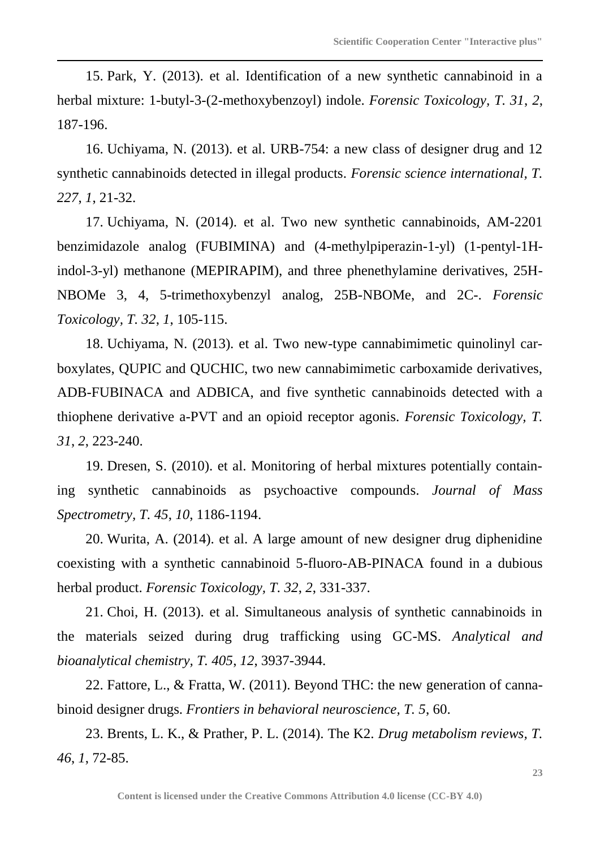15. Park, Y. (2013). et al. Identification of a new synthetic cannabinoid in a herbal mixture: 1-butyl-3-(2-methoxybenzoyl) indole. *Forensic Toxicology, T. 31*, *2*, 187-196.

16. Uchiyama, N. (2013). et al. URB-754: a new class of designer drug and 12 synthetic cannabinoids detected in illegal products. *Forensic science international, T. 227*, *1*, 21-32.

17. Uchiyama, N. (2014). et al. Two new synthetic cannabinoids, AM-2201 benzimidazole analog (FUBIMINA) and (4-methylpiperazin-1-yl) (1-pentyl-1Hindol-3-yl) methanone (MEPIRAPIM), and three phenethylamine derivatives, 25H-NBOMe 3, 4, 5-trimethoxybenzyl analog, 25B-NBOMe, and 2C-. *Forensic Toxicology, T. 32*, *1*, 105-115.

18. Uchiyama, N. (2013). et al. Two new-type cannabimimetic quinolinyl carboxylates, QUPIC and QUCHIC, two new cannabimimetic carboxamide derivatives, ADB-FUBINACA and ADBICA, and five synthetic cannabinoids detected with a thiophene derivative a-PVT and an opioid receptor agonis. *Forensic Toxicology, T. 31*, *2*, 223-240.

19. Dresen, S. (2010). et al. Monitoring of herbal mixtures potentially containing synthetic cannabinoids as psychoactive compounds. *Journal of Mass Spectrometry, T. 45*, *10*, 1186-1194.

20. Wurita, A. (2014). et al. A large amount of new designer drug diphenidine coexisting with a synthetic cannabinoid 5-fluoro-AB-PINACA found in a dubious herbal product. *Forensic Toxicology, T. 32*, *2*, 331-337.

21. Choi, H. (2013). et al. Simultaneous analysis of synthetic cannabinoids in the materials seized during drug trafficking using GC-MS. *Analytical and bioanalytical chemistry, T. 405*, *12*, 3937-3944.

22. Fattore, L., & Fratta, W. (2011). Beyond THC: the new generation of cannabinoid designer drugs. *Frontiers in behavioral neuroscience, T. 5*, 60.

23. Brents, L. K., & Prather, P. L. (2014). The K2. *Drug metabolism reviews, T. 46*, *1*, 72-85.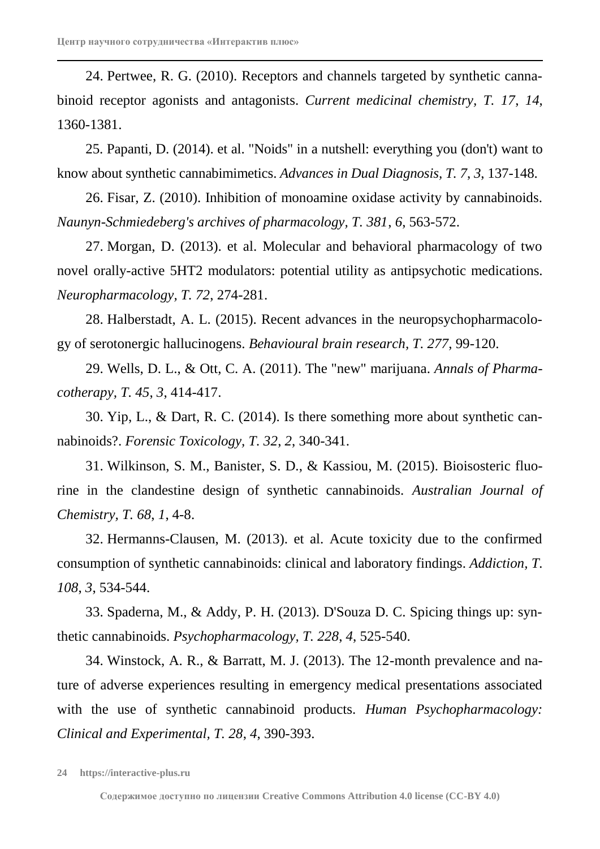24. Pertwee, R. G. (2010). Receptors and channels targeted by synthetic cannabinoid receptor agonists and antagonists. *Current medicinal chemistry, T. 17*, *14*, 1360-1381.

25. Papanti, D. (2014). et al. "Noids" in a nutshell: everything you (don't) want to know about synthetic cannabimimetics. *Advances in Dual Diagnosis, T. 7*, *3*, 137-148.

26. Fisar, Z. (2010). Inhibition of monoamine oxidase activity by cannabinoids. *Naunyn-Schmiedeberg's archives of pharmacology, T. 381*, *6*, 563-572.

27. Morgan, D. (2013). et al. Molecular and behavioral pharmacology of two novel orally-active 5HT2 modulators: potential utility as antipsychotic medications. *Neuropharmacology, T. 72*, 274-281.

28. Halberstadt, A. L. (2015). Recent advances in the neuropsychopharmacology of serotonergic hallucinogens. *Behavioural brain research, T. 277*, 99-120.

29. Wells, D. L., & Ott, C. A. (2011). The "new" marijuana. *Annals of Pharmacotherapy, T. 45*, *3*, 414-417.

30. Yip, L., & Dart, R. C. (2014). Is there something more about synthetic cannabinoids?. *Forensic Toxicology, T. 32*, *2*, 340-341.

31. Wilkinson, S. M., Banister, S. D., & Kassiou, M. (2015). Bioisosteric fluorine in the clandestine design of synthetic cannabinoids. *Australian Journal of Chemistry, T. 68*, *1*, 4-8.

32. Hermanns-Clausen, M. (2013). et al. Acute toxicity due to the confirmed consumption of synthetic cannabinoids: clinical and laboratory findings. *Addiction, T. 108*, *3*, 534-544.

33. Spaderna, M., & Addy, P. H. (2013). D'Souza D. C. Spicing things up: synthetic cannabinoids. *Psychopharmacology, T. 228*, *4*, 525-540.

34. Winstock, A. R., & Barratt, M. J. (2013). The 12-month prevalence and nature of adverse experiences resulting in emergency medical presentations associated with the use of synthetic cannabinoid products. *Human Psychopharmacology: Clinical and Experimental, T. 28*, *4*, 390-393.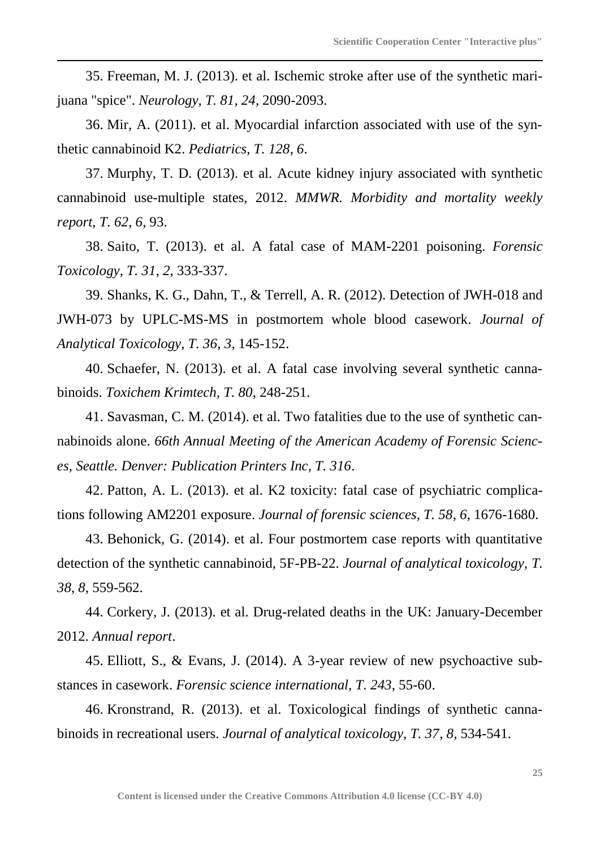35. Freeman, M. J. (2013). et al. Ischemic stroke after use of the synthetic marijuana "spice". *Neurology, T. 81*, *24*, 2090-2093.

36. Mir, A. (2011). et al. Myocardial infarction associated with use of the synthetic cannabinoid K2. *Pediatrics, T. 128*, *6*.

37. Murphy, T. D. (2013). et al. Acute kidney injury associated with synthetic cannabinoid use-multiple states, 2012. *MMWR. Morbidity and mortality weekly report, T. 62*, *6*, 93.

38. Saito, T. (2013). et al. A fatal case of MAM-2201 poisoning. *Forensic Toxicology, T. 31*, *2*, 333-337.

39. Shanks, K. G., Dahn, T., & Terrell, A. R. (2012). Detection of JWH-018 and JWH-073 by UPLC-MS-MS in postmortem whole blood casework. *Journal of Analytical Toxicology, T. 36*, *3*, 145-152.

40. Schaefer, N. (2013). et al. A fatal case involving several synthetic cannabinoids. *Toxichem Krimtech, T. 80*, 248-251.

41. Savasman, C. M. (2014). et al. Two fatalities due to the use of synthetic cannabinoids alone. *66th Annual Meeting of the American Academy of Forensic Sciences, Seattle. Denver: Publication Printers Inc, T. 316*.

42. Patton, A. L. (2013). et al. K2 toxicity: fatal case of psychiatric complications following AM2201 exposure. *Journal of forensic sciences, T. 58*, *6*, 1676-1680.

43. Behonick, G. (2014). et al. Four postmortem case reports with quantitative detection of the synthetic cannabinoid, 5F-PB-22. *Journal of analytical toxicology, T. 38*, *8*, 559-562.

44. Corkery, J. (2013). et al. Drug-related deaths in the UK: January-December 2012. *Annual report*.

45. Elliott, S., & Evans, J. (2014). A 3-year review of new psychoactive substances in casework. *Forensic science international, T. 243*, 55-60.

46. Kronstrand, R. (2013). et al. Toxicological findings of synthetic cannabinoids in recreational users. *Journal of analytical toxicology, T. 37*, *8*, 534-541.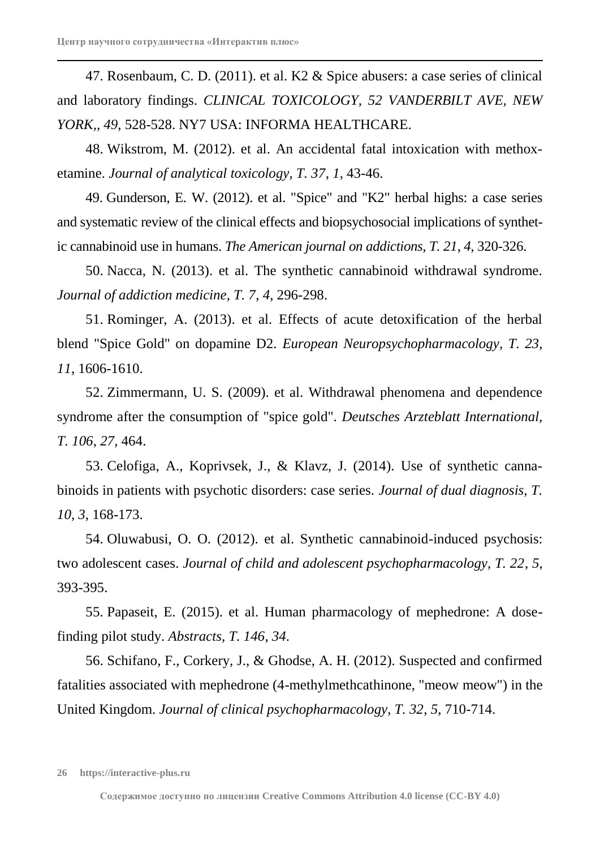47. Rosenbaum, C. D. (2011). et al. K2 & Spice abusers: a case series of clinical and laboratory findings. *CLINICAL TOXICOLOGY, 52 VANDERBILT AVE, NEW YORK,*, *49*, 528-528. NY7 USA: INFORMA HEALTHCARE.

48. Wikstrom, M. (2012). et al. An accidental fatal intoxication with methoxetamine. *Journal of analytical toxicology, T. 37*, *1*, 43-46.

49. Gunderson, E. W. (2012). et al. "Spice" and "K2" herbal highs: a case series and systematic review of the clinical effects and biopsychosocial implications of synthetic cannabinoid use in humans. *The American journal on addictions, T. 21*, *4*, 320-326.

50. Nacca, N. (2013). et al. The synthetic cannabinoid withdrawal syndrome. *Journal of addiction medicine, T. 7*, *4*, 296-298.

51. Rominger, A. (2013). et al. Effects of acute detoxification of the herbal blend "Spice Gold" on dopamine D2. *European Neuropsychopharmacology, T. 23*, *11*, 1606-1610.

52. Zimmermann, U. S. (2009). et al. Withdrawal phenomena and dependence syndrome after the consumption of "spice gold". *Deutsches Arzteblatt International, T. 106*, *27*, 464.

53. Celofiga, A., Koprivsek, J., & Klavz, J. (2014). Use of synthetic cannabinoids in patients with psychotic disorders: case series. *Journal of dual diagnosis, T. 10*, *3*, 168-173.

54. Oluwabusi, O. O. (2012). et al. Synthetic cannabinoid-induced psychosis: two adolescent cases. *Journal of child and adolescent psychopharmacology, T. 22*, *5*, 393-395.

55. Papaseit, E. (2015). et al. Human pharmacology of mephedrone: A dosefinding pilot study. *Abstracts, T. 146*, *34*.

56. Schifano, F., Corkery, J., & Ghodse, A. H. (2012). Suspected and confirmed fatalities associated with mephedrone (4-methylmethcathinone, "meow meow") in the United Kingdom. *Journal of clinical psychopharmacology, T. 32*, *5*, 710-714.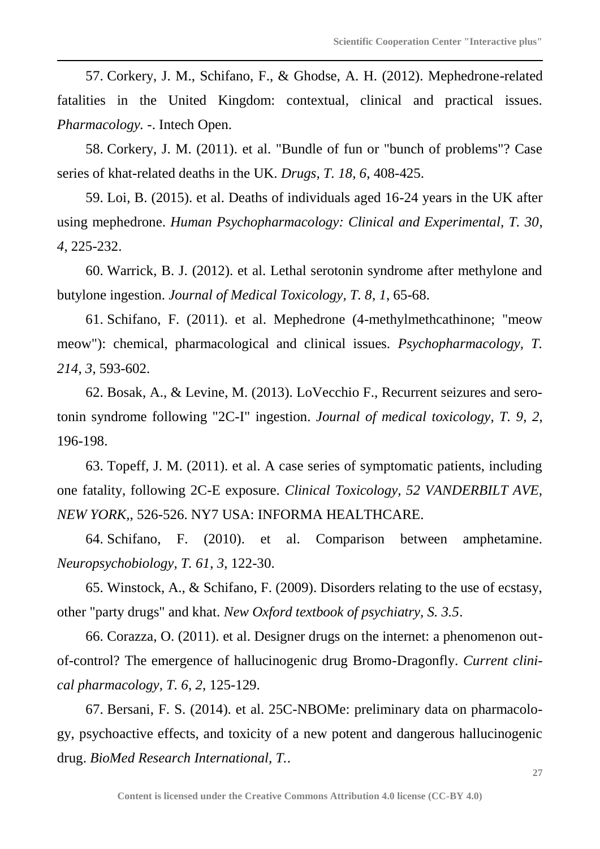57. Corkery, J. M., Schifano, F., & Ghodse, A. H. (2012). Mephedrone-related fatalities in the United Kingdom: contextual, clinical and practical issues. *Pharmacology. -*. Intech Open.

58. Corkery, J. M. (2011). et al. "Bundle of fun or "bunch of problems"? Case series of khat-related deaths in the UK. *Drugs, T. 18*, *6*, 408-425.

59. Loi, B. (2015). et al. Deaths of individuals aged 16-24 years in the UK after using mephedrone. *Human Psychopharmacology: Clinical and Experimental, T. 30*, *4*, 225-232.

60. Warrick, B. J. (2012). et al. Lethal serotonin syndrome after methylone and butylone ingestion. *Journal of Medical Toxicology, T. 8*, *1*, 65-68.

61. Schifano, F. (2011). et al. Mephedrone (4-methylmethcathinone; "meow meow"): chemical, pharmacological and clinical issues. *Psychopharmacology, T. 214*, *3*, 593-602.

62. Bosak, A., & Levine, M. (2013). LoVecchio F., Recurrent seizures and serotonin syndrome following "2C-I" ingestion. *Journal of medical toxicology, T. 9*, *2*, 196-198.

63. Topeff, J. M. (2011). et al. A case series of symptomatic patients, including one fatality, following 2C-E exposure. *Clinical Toxicology, 52 VANDERBILT AVE, NEW YORK,*, 526-526. NY7 USA: INFORMA HEALTHCARE.

64. Schifano, F. (2010). et al. Comparison between amphetamine. *Neuropsychobiology, T. 61*, *3*, 122-30.

65. Winstock, A., & Schifano, F. (2009). Disorders relating to the use of ecstasy, other "party drugs" and khat. *New Oxford textbook of psychiatry, S. 3.5*.

66. Corazza, O. (2011). et al. Designer drugs on the internet: a phenomenon outof-control? The emergence of hallucinogenic drug Bromo-Dragonfly. *Current clinical pharmacology, T. 6*, *2*, 125-129.

67. Bersani, F. S. (2014). et al. 25C-NBOMe: preliminary data on pharmacology, psychoactive effects, and toxicity of a new potent and dangerous hallucinogenic drug. *BioMed Research International, T.*.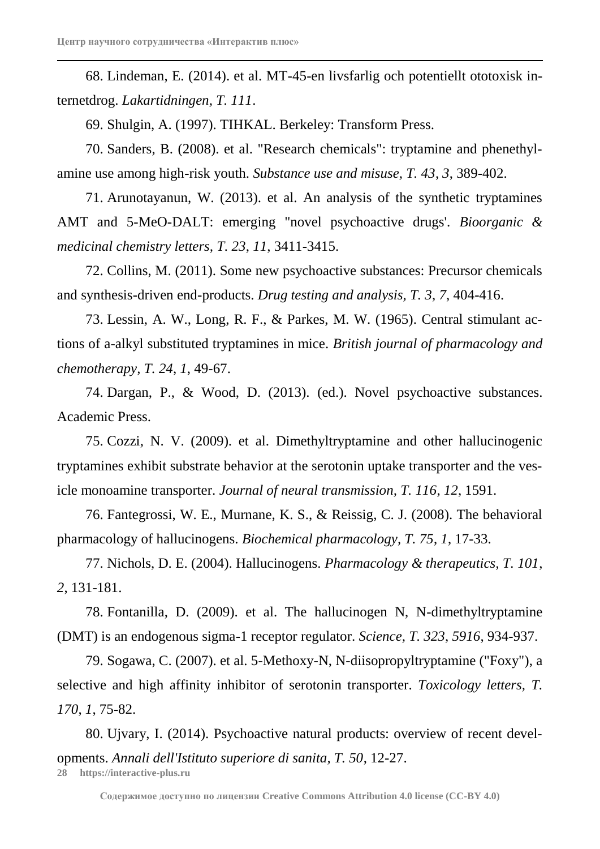68. Lindeman, E. (2014). et al. MT-45-en livsfarlig och potentiellt ototoxisk internetdrog. *Lakartidningen, T. 111*.

69. Shulgin, A. (1997). TIHKAL. Berkeley: Transform Press.

70. Sanders, B. (2008). et al. "Research chemicals": tryptamine and phenethylamine use among high-risk youth. *Substance use and misuse, T. 43*, *3*, 389-402.

71. Arunotayanun, W. (2013). et al. An analysis of the synthetic tryptamines AMT and 5-MeO-DALT: emerging "novel psychoactive drugs'. *Bioorganic & medicinal chemistry letters, T. 23*, *11*, 3411-3415.

72. Collins, M. (2011). Some new psychoactive substances: Precursor chemicals and synthesis-driven end-products. *Drug testing and analysis, T. 3*, *7*, 404-416.

73. Lessin, A. W., Long, R. F., & Parkes, M. W. (1965). Central stimulant actions of a-alkyl substituted tryptamines in mice. *British journal of pharmacology and chemotherapy, T. 24*, *1*, 49-67.

74. Dargan, P., & Wood, D. (2013). (ed.). Novel psychoactive substances. Academic Press.

75. Cozzi, N. V. (2009). et al. Dimethyltryptamine and other hallucinogenic tryptamines exhibit substrate behavior at the serotonin uptake transporter and the vesicle monoamine transporter. *Journal of neural transmission, T. 116*, *12*, 1591.

76. Fantegrossi, W. E., Murnane, K. S., & Reissig, C. J. (2008). The behavioral pharmacology of hallucinogens. *Biochemical pharmacology, T. 75*, *1*, 17-33.

77. Nichols, D. E. (2004). Hallucinogens. *Pharmacology & therapeutics, T. 101*, *2*, 131-181.

78. Fontanilla, D. (2009). et al. The hallucinogen N, N-dimethyltryptamine (DMT) is an endogenous sigma-1 receptor regulator. *Science, T. 323*, *5916*, 934-937.

79. Sogawa, C. (2007). et al. 5-Methoxy-N, N-diisopropyltryptamine ("Foxy"), a selective and high affinity inhibitor of serotonin transporter. *Toxicology letters, T. 170*, *1*, 75-82.

80. Ujvary, I. (2014). Psychoactive natural products: overview of recent developments. *Annali dell'Istituto superiore di sanita, T. 50*, 12-27.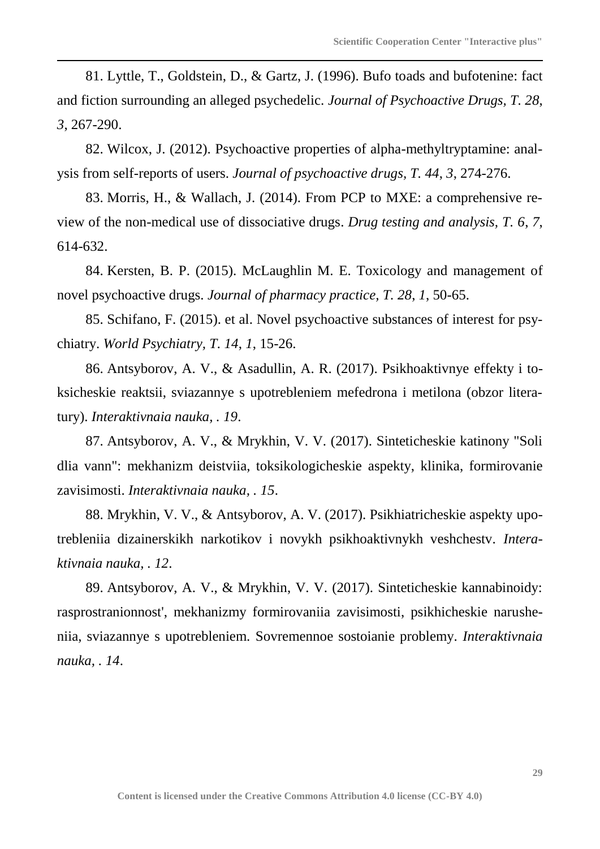81. Lyttle, T., Goldstein, D., & Gartz, J. (1996). Bufo toads and bufotenine: fact and fiction surrounding an alleged psychedelic. *Journal of Psychoactive Drugs, T. 28*, *3*, 267-290.

82. Wilcox, J. (2012). Psychoactive properties of alpha-methyltryptamine: analysis from self-reports of users. *Journal of psychoactive drugs, T. 44*, *3*, 274-276.

83. Morris, H., & Wallach, J. (2014). From PCP to MXE: a comprehensive review of the non-medical use of dissociative drugs. *Drug testing and analysis, T. 6*, *7*, 614-632.

84. Kersten, B. P. (2015). McLaughlin M. E. Toxicology and management of novel psychoactive drugs. *Journal of pharmacy practice, T. 28*, *1*, 50-65.

85. Schifano, F. (2015). et al. Novel psychoactive substances of interest for psychiatry. *World Psychiatry, T. 14*, *1*, 15-26.

86. Antsyborov, A. V., & Asadullin, A. R. (2017). Psikhoaktivnye effekty i toksicheskie reaktsii, sviazannye s upotrebleniem mefedrona i metilona (obzor literatury). *Interaktivnaia nauka, . 19*.

87. Antsyborov, A. V., & Mrykhin, V. V. (2017). Sinteticheskie katinony "Soli dlia vann": mekhanizm deistviia, toksikologicheskie aspekty, klinika, formirovanie zavisimosti. *Interaktivnaia nauka, . 15*.

88. Mrykhin, V. V., & Antsyborov, A. V. (2017). Psikhiatricheskie aspekty upotrebleniia dizainerskikh narkotikov i novykh psikhoaktivnykh veshchestv. *Interaktivnaia nauka, . 12*.

89. Antsyborov, A. V., & Mrykhin, V. V. (2017). Sinteticheskie kannabinoidy: rasprostranionnost', mekhanizmy formirovaniia zavisimosti, psikhicheskie narusheniia, sviazannye s upotrebleniem. Sovremennoe sostoianie problemy. *Interaktivnaia nauka, . 14*.

**29**